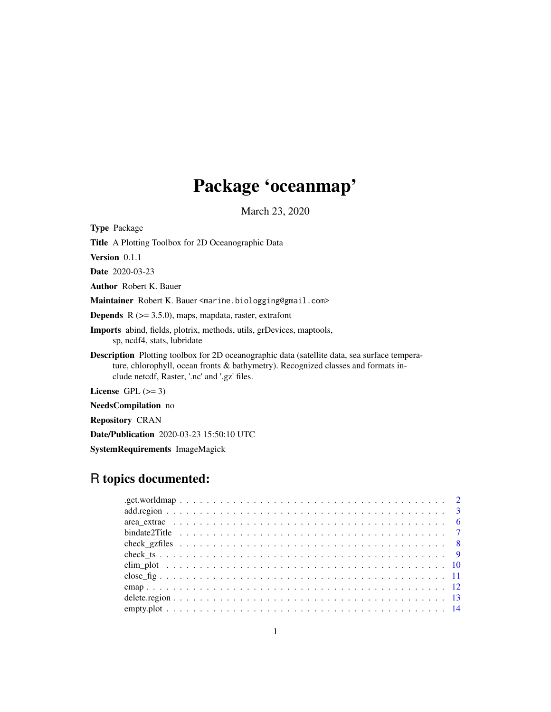# Package 'oceanmap'

March 23, 2020

<span id="page-0-0"></span>

| <b>Type Package</b>                                                                                                                                                                                                                      |
|------------------------------------------------------------------------------------------------------------------------------------------------------------------------------------------------------------------------------------------|
| <b>Title</b> A Plotting Toolbox for 2D Oceanographic Data                                                                                                                                                                                |
| <b>Version</b> $0.1.1$                                                                                                                                                                                                                   |
| <b>Date</b> 2020-03-23                                                                                                                                                                                                                   |
| <b>Author</b> Robert K. Bauer                                                                                                                                                                                                            |
| Maintainer Robert K. Bauer <marine.biologging@gmail.com></marine.biologging@gmail.com>                                                                                                                                                   |
| <b>Depends</b> $R$ ( $> = 3.5.0$ ), maps, mapdata, raster, extrafont                                                                                                                                                                     |
| <b>Imports</b> abind, fields, plotrix, methods, utils, grDevices, maptools,<br>sp, ncdf4, stats, lubridate                                                                                                                               |
| <b>Description</b> Plotting toolbox for 2D oceanographic data (satellite data, sea surface tempera-<br>ture, chlorophyll, ocean fronts & bathymetry). Recognized classes and formats in-<br>clude netcdf, Raster, '.nc' and '.gz' files. |
| License $GPL \, (>= 3)$                                                                                                                                                                                                                  |
| <b>NeedsCompilation</b> no                                                                                                                                                                                                               |
| <b>Repository CRAN</b>                                                                                                                                                                                                                   |
| <b>Date/Publication</b> 2020-03-23 15:50:10 UTC                                                                                                                                                                                          |

SystemRequirements ImageMagick

# R topics documented: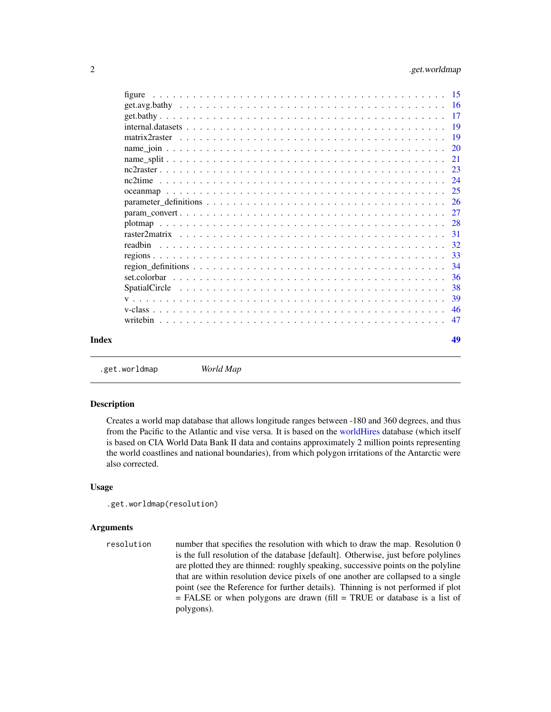<span id="page-1-0"></span>

|       | figure |    |
|-------|--------|----|
|       |        |    |
|       |        |    |
|       |        |    |
|       |        |    |
|       |        |    |
|       |        |    |
|       |        |    |
|       |        |    |
|       |        |    |
|       |        |    |
|       |        |    |
|       |        |    |
|       |        |    |
|       |        |    |
|       |        |    |
|       |        |    |
|       |        |    |
|       |        |    |
|       |        |    |
|       |        |    |
|       |        |    |
| Index |        | 49 |
|       |        |    |

.get.worldmap *World Map*

# Description

Creates a world map database that allows longitude ranges between -180 and 360 degrees, and thus from the Pacific to the Atlantic and vise versa. It is based on the [worldHires](#page-0-0) database (which itself is based on CIA World Data Bank II data and contains approximately 2 million points representing the world coastlines and national boundaries), from which polygon irritations of the Antarctic were also corrected.

#### Usage

```
.get.worldmap(resolution)
```
### Arguments

resolution number that specifies the resolution with which to draw the map. Resolution 0 is the full resolution of the database [default]. Otherwise, just before polylines are plotted they are thinned: roughly speaking, successive points on the polyline that are within resolution device pixels of one another are collapsed to a single point (see the Reference for further details). Thinning is not performed if plot = FALSE or when polygons are drawn (fill = TRUE or database is a list of polygons).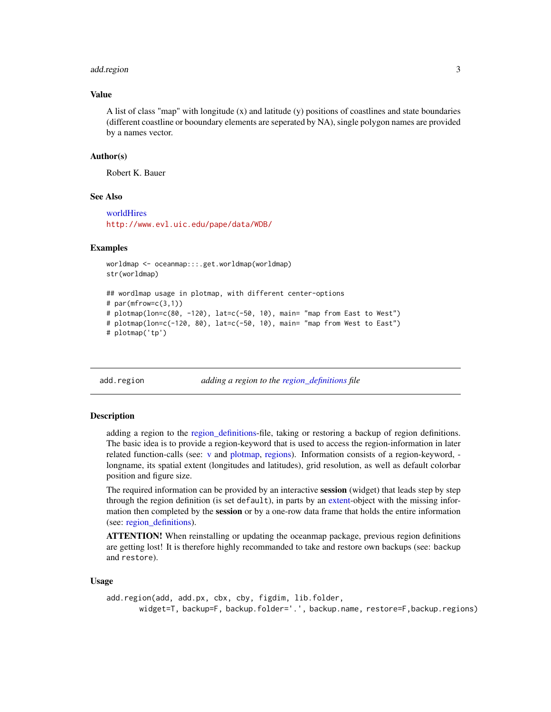#### <span id="page-2-0"></span>add.region 3

#### Value

A list of class "map" with longitude (x) and latitude (y) positions of coastlines and state boundaries (different coastline or booundary elements are seperated by NA), single polygon names are provided by a names vector.

#### Author(s)

Robert K. Bauer

#### See Also

[worldHires](#page-0-0) <http://www.evl.uic.edu/pape/data/WDB/>

#### Examples

```
worldmap <- oceanmap:::.get.worldmap(worldmap)
str(worldmap)
## wordlmap usage in plotmap, with different center-options
# par(mfrow=c(3,1))# plotmap(lon=c(80, -120), lat=c(-50, 10), main= "map from East to West")
# plotmap(lon=c(-120, 80), lat=c(-50, 10), main= "map from West to East")
# plotmap('tp')
```
<span id="page-2-1"></span>add.region *adding a region to the [region\\_definitions](#page-33-1) file*

#### Description

adding a region to the [region\\_definitions-](#page-33-1)file, taking or restoring a backup of region definitions. The basic idea is to provide a region-keyword that is used to access the region-information in later related function-calls (see: [v](#page-38-1) and [plotmap,](#page-27-1) [regions\)](#page-32-1). Information consists of a region-keyword, longname, its spatial extent (longitudes and latitudes), grid resolution, as well as default colorbar position and figure size.

The required information can be provided by an interactive session (widget) that leads step by step through the region definition (is set default), in parts by an [extent-](#page-0-0)object with the missing information then completed by the session or by a one-row data frame that holds the entire information (see: [region\\_definitions\)](#page-33-1).

**ATTENTION!** When reinstalling or updating the oceanmap package, previous region definitions are getting lost! It is therefore highly recommanded to take and restore own backups (see: backup and restore).

#### Usage

```
add.region(add, add.px, cbx, cby, figdim, lib.folder,
       widget=T, backup=F, backup.folder='.', backup.name, restore=F,backup.regions)
```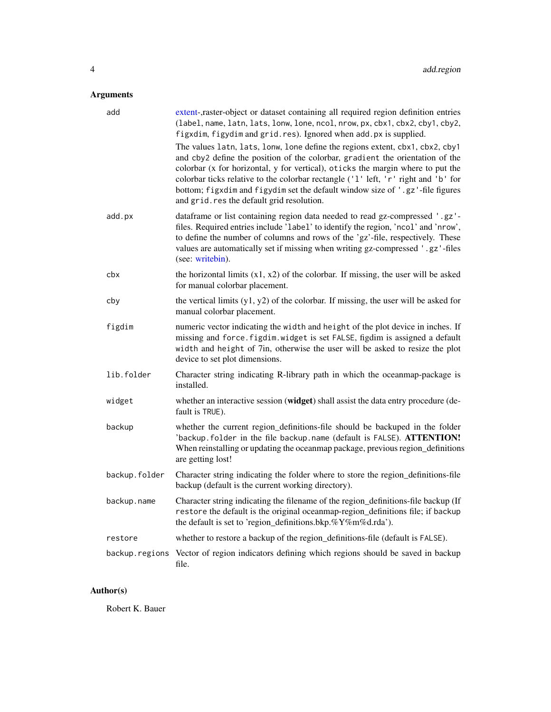# <span id="page-3-0"></span>Arguments

| add            | extent-,raster-object or dataset containing all required region definition entries<br>(label, name, latn, lats, lonw, lone, ncol, nrow, px, cbx1, cbx2, cby1, cby2,<br>figxdim, figydim and grid.res). Ignored when add.px is supplied.                                                                                                                                                                                                                               |
|----------------|-----------------------------------------------------------------------------------------------------------------------------------------------------------------------------------------------------------------------------------------------------------------------------------------------------------------------------------------------------------------------------------------------------------------------------------------------------------------------|
|                | The values latn, lats, lonw, lone define the regions extent, cbx1, cbx2, cby1<br>and cby2 define the position of the colorbar, gradient the orientation of the<br>colorbar (x for horizontal, y for vertical), oticks the margin where to put the<br>colorbar ticks relative to the colorbar rectangle ('1' left, 'r' right and 'b' for<br>bottom; figxdim and figydim set the default window size of '.gz'-file figures<br>and grid.res the default grid resolution. |
| add.px         | dataframe or list containing region data needed to read gz-compressed '.gz'-<br>files. Required entries include 'label' to identify the region, 'ncol' and 'nrow',<br>to define the number of columns and rows of the 'gz'-file, respectively. These<br>values are automatically set if missing when writing gz-compressed '.gz'-files<br>(see: writebin).                                                                                                            |
| cbx            | the horizontal limits $(x1, x2)$ of the colorbar. If missing, the user will be asked<br>for manual colorbar placement.                                                                                                                                                                                                                                                                                                                                                |
| cby            | the vertical limits $(y1, y2)$ of the colorbar. If missing, the user will be asked for<br>manual colorbar placement.                                                                                                                                                                                                                                                                                                                                                  |
| figdim         | numeric vector indicating the width and height of the plot device in inches. If<br>missing and force. figdim. widget is set FALSE, figdim is assigned a default<br>width and height of 7in, otherwise the user will be asked to resize the plot<br>device to set plot dimensions.                                                                                                                                                                                     |
| lib.folder     | Character string indicating R-library path in which the oceanmap-package is<br>installed.                                                                                                                                                                                                                                                                                                                                                                             |
| widget         | whether an interactive session (widget) shall assist the data entry procedure (de-<br>fault is TRUE).                                                                                                                                                                                                                                                                                                                                                                 |
| backup         | whether the current region_definitions-file should be backuped in the folder<br>'backup. folder in the file backup. name (default is FALSE). ATTENTION!<br>When reinstalling or updating the oceanmap package, previous region_definitions<br>are getting lost!                                                                                                                                                                                                       |
| backup.folder  | Character string indicating the folder where to store the region_definitions-file<br>backup (default is the current working directory).                                                                                                                                                                                                                                                                                                                               |
| backup.name    | Character string indicating the filename of the region_definitions-file backup (If<br>restore the default is the original oceanmap-region_definitions file; if backup<br>the default is set to 'region_definitions.bkp.%Y%m%d.rda').                                                                                                                                                                                                                                  |
| restore        | whether to restore a backup of the region_definitions-file (default is FALSE).                                                                                                                                                                                                                                                                                                                                                                                        |
| backup.regions | Vector of region indicators defining which regions should be saved in backup<br>file.                                                                                                                                                                                                                                                                                                                                                                                 |

# Author(s)

Robert K. Bauer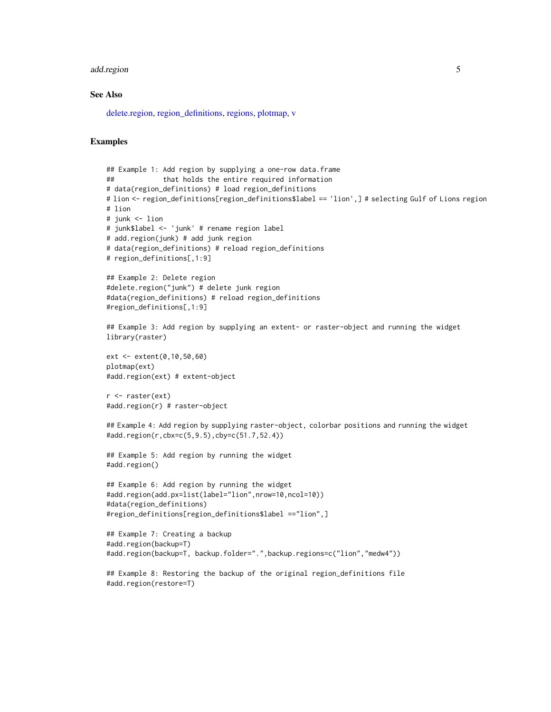#### <span id="page-4-0"></span>add.region 5

# See Also

[delete.region,](#page-12-1) [region\\_definitions,](#page-33-1) [regions,](#page-32-1) [plotmap,](#page-27-1) [v](#page-38-1)

```
## Example 1: Add region by supplying a one-row data.frame
## that holds the entire required information
# data(region_definitions) # load region_definitions
# lion <- region_definitions[region_definitions$label == 'lion',] # selecting Gulf of Lions region
# lion
# junk <- lion
# junk$label <- 'junk' # rename region label
# add.region(junk) # add junk region
# data(region_definitions) # reload region_definitions
# region_definitions[,1:9]
## Example 2: Delete region
#delete.region("junk") # delete junk region
#data(region_definitions) # reload region_definitions
#region_definitions[,1:9]
## Example 3: Add region by supplying an extent- or raster-object and running the widget
library(raster)
ext <- extent(0,10,50,60)
plotmap(ext)
#add.region(ext) # extent-object
r <- raster(ext)
#add.region(r) # raster-object
## Example 4: Add region by supplying raster-object, colorbar positions and running the widget
#add.region(r,cbx=c(5,9.5),cby=c(51.7,52.4))
## Example 5: Add region by running the widget
#add.region()
## Example 6: Add region by running the widget
#add.region(add.px=list(label="lion",nrow=10,ncol=10))
#data(region_definitions)
#region_definitions[region_definitions$label =="lion",]
## Example 7: Creating a backup
#add.region(backup=T)
#add.region(backup=T, backup.folder=".",backup.regions=c("lion","medw4"))
## Example 8: Restoring the backup of the original region_definitions file
#add.region(restore=T)
```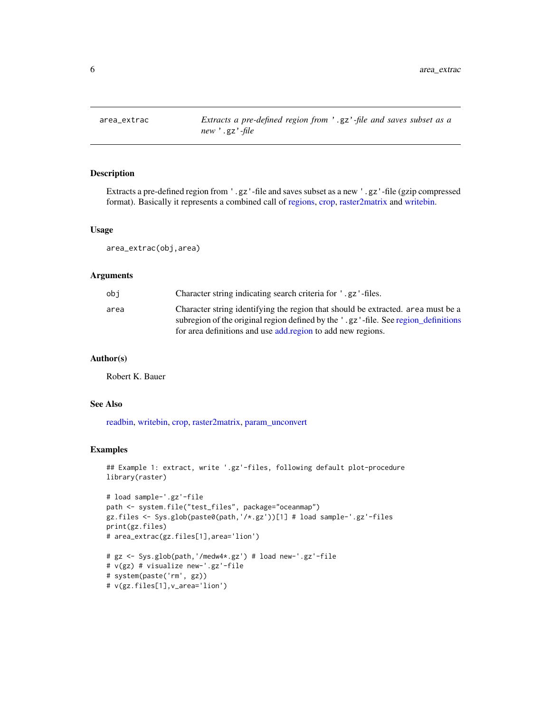<span id="page-5-0"></span>

# Description

Extracts a pre-defined region from '.gz'-file and saves subset as a new '.gz'-file (gzip compressed format). Basically it represents a combined call of [regions,](#page-32-1) [crop,](#page-0-0) [raster2matrix](#page-30-1) and [writebin.](#page-46-1)

#### Usage

area\_extrac(obj,area)

#### Arguments

| obi  | Character string indicating search criteria for '.gz'-files.                       |
|------|------------------------------------------------------------------------------------|
| area | Character string identifying the region that should be extracted, area must be a   |
|      | subregion of the original region defined by the '.gz'-file. See region_definitions |
|      | for area definitions and use add region to add new regions.                        |

#### Author(s)

Robert K. Bauer

# v(gz.files[1],v\_area='lion')

# See Also

[readbin,](#page-31-1) [writebin,](#page-46-1) [crop,](#page-0-0) [raster2matrix,](#page-30-1) [param\\_unconvert](#page-26-1)

```
## Example 1: extract, write '.gz'-files, following default plot-procedure
library(raster)
```

```
# load sample-'.gz'-file
path <- system.file("test_files", package="oceanmap")
gz.files <- Sys.glob(paste0(path,'/*.gz'))[1] # load sample-'.gz'-files
print(gz.files)
# area_extrac(gz.files[1],area='lion')
# gz <- Sys.glob(path,'/medw4*.gz') # load new-'.gz'-file
# v(gz) # visualize new-'.gz'-file
# system(paste('rm', gz))
```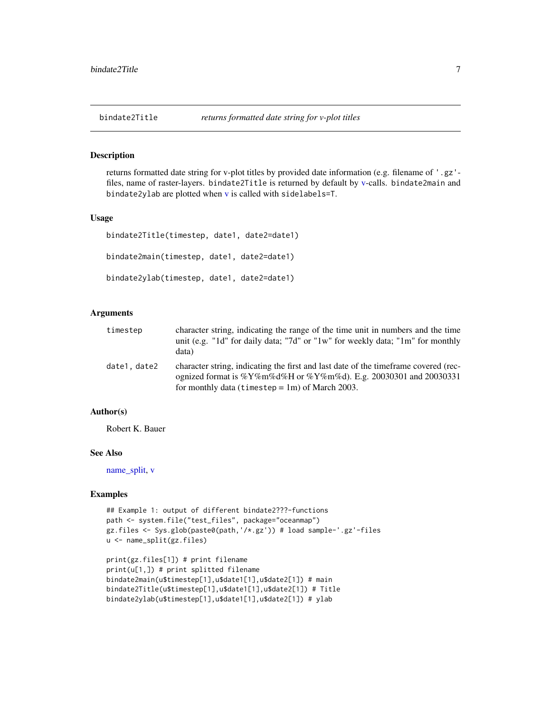<span id="page-6-0"></span>

#### Description

returns formatted date string for v-plot titles by provided date information (e.g. filename of '.gz' files, name of raster-layers. bindate2Title is returned by default by [v-](#page-38-1)calls. bindate2main and bindate2ylab are plotted when [v](#page-38-1) is called with sidelabels=T.

# Usage

```
bindate2Title(timestep, date1, date2=date1)
bindate2main(timestep, date1, date2=date1)
bindate2ylab(timestep, date1, date2=date1)
```
# Arguments

| timestep    | character string, indicating the range of the time unit in numbers and the time<br>unit (e.g. "1d" for daily data; "7d" or "1w" for weekly data; "1m" for monthly<br>data)                                     |
|-------------|----------------------------------------------------------------------------------------------------------------------------------------------------------------------------------------------------------------|
| date1.date2 | character string, indicating the first and last date of the time frame covered (rec-<br>ognized format is %Y%m%d%H or %Y%m%d). E.g. 20030301 and 20030331<br>for monthly data (timestep $=$ 1m) of March 2003. |

#### Author(s)

Robert K. Bauer

#### See Also

[name\\_split,](#page-20-1) [v](#page-38-1)

```
## Example 1: output of different bindate2???-functions
path <- system.file("test_files", package="oceanmap")
gz.files <- Sys.glob(paste0(path,'/*.gz')) # load sample-'.gz'-files
u <- name_split(gz.files)
```

```
print(gz.files[1]) # print filename
print(u[1,]) # print splitted filename
bindate2main(u$timestep[1],u$date1[1],u$date2[1]) # main
bindate2Title(u$timestep[1],u$date1[1],u$date2[1]) # Title
bindate2ylab(u$timestep[1],u$date1[1],u$date2[1]) # ylab
```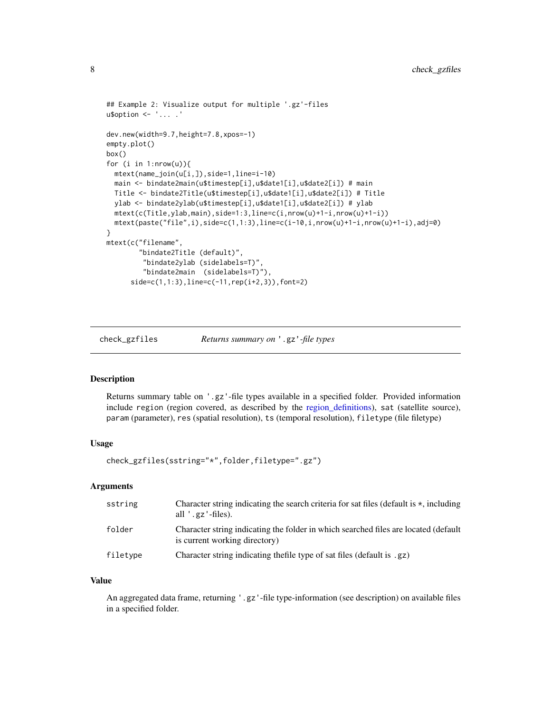```
## Example 2: Visualize output for multiple '.gz'-files
u$option <- '... .'
dev.new(width=9.7,height=7.8,xpos=-1)
empty.plot()
box()
for (i in 1:nrow(u)){
 mtext(name_join(u[i,]),side=1,line=i-10)
 main <- bindate2main(u$timestep[i],u$date1[i],u$date2[i]) # main
 Title <- bindate2Title(u$timestep[i],u$date1[i],u$date2[i]) # Title
 ylab <- bindate2ylab(u$timestep[i],u$date1[i],u$date2[i]) # ylab
 mtext(c(Title,ylab,main),side=1:3,line=c(i,nrow(u)+1-i,nrow(u)+1-i))
 mtext(paste("file",i),side=c(1,1:3),line=c(i-10,i,nrow(u)+1-i,nrow(u)+1-i),adj=0)
}
mtext(c("filename",
        "bindate2Title (default)",
         "bindate2ylab (sidelabels=T)",
         "bindate2main (sidelabels=T)"),
      side=c(1,1:3),line=c(-11,rep(i+2,3)),font=2)
```
<span id="page-7-1"></span>check\_gzfiles *Returns summary on* '.gz'*-file types*

#### Description

Returns summary table on '.gz'-file types available in a specified folder. Provided information include region (region covered, as described by the [region\\_definitions\)](#page-33-1), sat (satellite source), param (parameter), res (spatial resolution), ts (temporal resolution), filetype (file filetype)

#### Usage

check\_gzfiles(sstring="\*",folder,filetype=".gz")

#### Arguments

| sstring  | Character string indicating the search criteria for sat files (default is $\star$ , including<br>all $'$ .gz $'$ -files). |
|----------|---------------------------------------------------------------------------------------------------------------------------|
| folder   | Character string indicating the folder in which searched files are located (default<br>is current working directory)      |
| filetype | Character string indicating the file type of sat files (default is .gz)                                                   |

# Value

An aggregated data frame, returning '.gz'-file type-information (see description) on available files in a specified folder.

<span id="page-7-0"></span>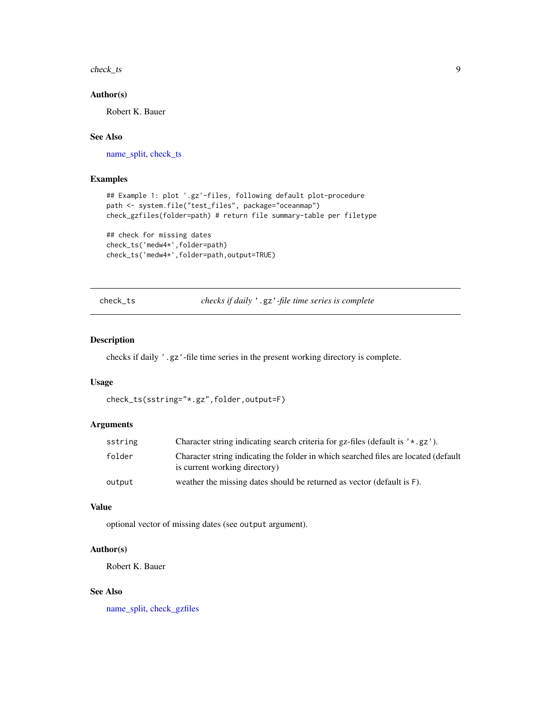<span id="page-8-0"></span>check\_ts 9

# Author(s)

Robert K. Bauer

# See Also

[name\\_split,](#page-20-1) [check\\_ts](#page-8-1)

# Examples

```
## Example 1: plot '.gz'-files, following default plot-procedure
path <- system.file("test_files", package="oceanmap")
check_gzfiles(folder=path) # return file summary-table per filetype
```

```
## check for missing dates
check_ts('medw4*',folder=path)
check_ts('medw4*',folder=path,output=TRUE)
```
<span id="page-8-1"></span>check\_ts *checks if daily* '.gz'*-file time series is complete*

# Description

checks if daily '.gz'-file time series in the present working directory is complete.

#### Usage

```
check_ts(sstring="*.gz",folder,output=F)
```
# Arguments

| sstring | Character string indicating search criteria for gz-files (default is $' \star .gz'$ ).                               |
|---------|----------------------------------------------------------------------------------------------------------------------|
| folder  | Character string indicating the folder in which searched files are located (default<br>is current working directory) |
| output  | weather the missing dates should be returned as vector (default is F).                                               |

# Value

optional vector of missing dates (see output argument).

# Author(s)

Robert K. Bauer

# See Also

[name\\_split,](#page-20-1) [check\\_gzfiles](#page-7-1)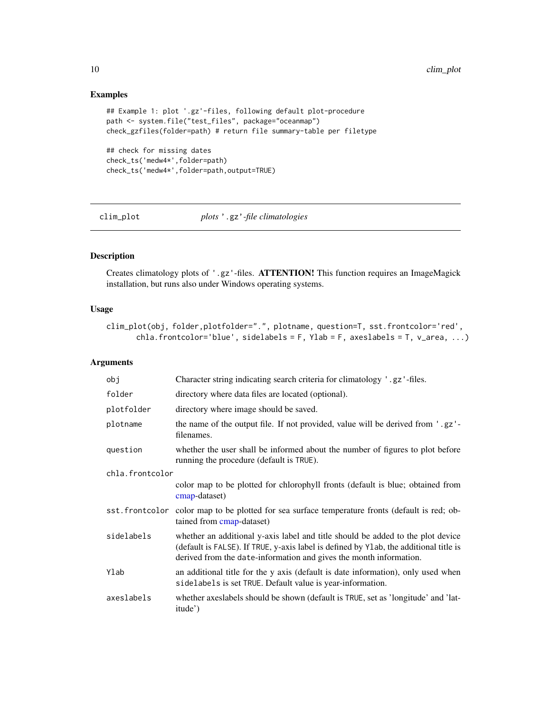# Examples

```
## Example 1: plot '.gz'-files, following default plot-procedure
path <- system.file("test_files", package="oceanmap")
check_gzfiles(folder=path) # return file summary-table per filetype
## check for missing dates
check_ts('medw4*',folder=path)
check_ts('medw4*',folder=path,output=TRUE)
```
<span id="page-9-1"></span>clim\_plot *plots* '.gz'*-file climatologies*

# Description

Creates climatology plots of '.gz'-files. ATTENTION! This function requires an ImageMagick installation, but runs also under Windows operating systems.

# Usage

```
clim_plot(obj, folder,plotfolder=".", plotname, question=T, sst.frontcolor='red',
      chla.frontcolor='blue', sidelabels = F, Ylab = F, axeslabels = T, v_area, ...)
```

| obj             | Character string indicating search criteria for climatology '.gz'-files.                                                                                                                                                                       |
|-----------------|------------------------------------------------------------------------------------------------------------------------------------------------------------------------------------------------------------------------------------------------|
| folder          | directory where data files are located (optional).                                                                                                                                                                                             |
| plotfolder      | directory where image should be saved.                                                                                                                                                                                                         |
| plotname        | the name of the output file. If not provided, value will be derived from '.gz'-<br>filenames.                                                                                                                                                  |
| question        | whether the user shall be informed about the number of figures to plot before<br>running the procedure (default is TRUE).                                                                                                                      |
| chla.frontcolor |                                                                                                                                                                                                                                                |
|                 | color map to be plotted for chlorophyll fronts (default is blue; obtained from<br>cmap-dataset)                                                                                                                                                |
|                 | sst. frontcolor color map to be plotted for sea surface temperature fronts (default is red; ob-<br>tained from cmap-dataset)                                                                                                                   |
| sidelabels      | whether an additional y-axis label and title should be added to the plot device<br>(default is FALSE). If TRUE, y-axis label is defined by Ylab, the additional title is<br>derived from the date-information and gives the month information. |
| Ylab            | an additional title for the y axis (default is date information), only used when<br>sidelabels is set TRUE. Default value is year-information.                                                                                                 |
| axeslabels      | whether axes labels should be shown (default is TRUE, set as 'longitude' and 'lat-<br>itude')                                                                                                                                                  |

<span id="page-9-0"></span>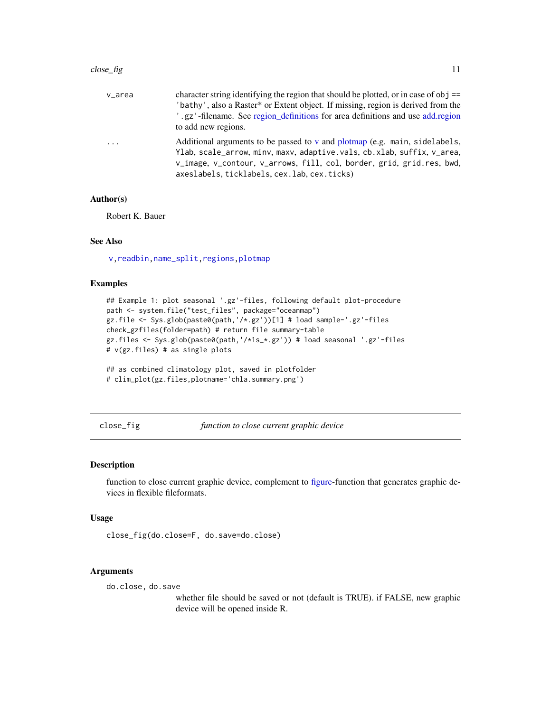<span id="page-10-0"></span>

| v_area   | character string identifying the region that should be plotted, or in case of $obj$ ==<br>'bathy', also a Raster* or Extent object. If missing, region is derived from the<br>.gz'-filename. See region_definitions for area definitions and use add.region<br>to add new regions. |
|----------|------------------------------------------------------------------------------------------------------------------------------------------------------------------------------------------------------------------------------------------------------------------------------------|
| $\ddots$ | Additional arguments to be passed to y and plotmap (e.g. main, sidelabels,<br>Ylab, scale_arrow, minv, maxv, adaptive.vals, cb.xlab, suffix, v_area,<br>v_image, v_contour, v_arrows, fill, col, border, grid, grid.res, bwd,<br>axeslabels, ticklabels, cex. lab, cex. ticks)     |

# Author(s)

Robert K. Bauer

#### See Also

[v,](#page-38-1)[readbin,](#page-31-1)[name\\_split](#page-20-1)[,regions](#page-32-1)[,plotmap](#page-27-1)

#### Examples

```
## Example 1: plot seasonal '.gz'-files, following default plot-procedure
path <- system.file("test_files", package="oceanmap")
gz.file <- Sys.glob(paste0(path,'/*.gz'))[1] # load sample-'.gz'-files
check_gzfiles(folder=path) # return file summary-table
gz.files <- Sys.glob(paste0(path,'/*1s_*.gz')) # load seasonal '.gz'-files
# v(gz.files) # as single plots
```

```
## as combined climatology plot, saved in plotfolder
# clim_plot(gz.files,plotname='chla.summary.png')
```
<span id="page-10-1"></span>close\_fig *function to close current graphic device*

# Description

function to close current graphic device, complement to [figure-](#page-14-1)function that generates graphic devices in flexible fileformats.

# Usage

```
close_fig(do.close=F, do.save=do.close)
```
#### Arguments

do.close, do.save

whether file should be saved or not (default is TRUE). if FALSE, new graphic device will be opened inside R.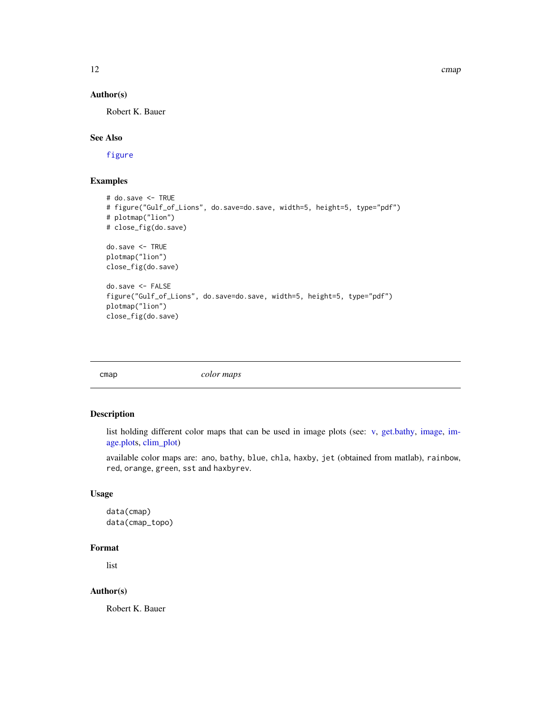# <span id="page-11-0"></span>Author(s)

Robert K. Bauer

# See Also

[figure](#page-14-1)

# Examples

```
# do.save <- TRUE
# figure("Gulf_of_Lions", do.save=do.save, width=5, height=5, type="pdf")
# plotmap("lion")
# close_fig(do.save)
do.save <- TRUE
plotmap("lion")
close_fig(do.save)
do.save <- FALSE
figure("Gulf_of_Lions", do.save=do.save, width=5, height=5, type="pdf")
plotmap("lion")
close_fig(do.save)
```
<span id="page-11-1"></span>

| cmap | color maps |
|------|------------|

# Description

list holding different color maps that can be used in image plots (see: [v,](#page-38-1) [get.bathy,](#page-16-1) [image,](#page-0-0) [im](#page-0-0)[age.plots](#page-0-0), [clim\\_plot\)](#page-9-1)

available color maps are: ano, bathy, blue, chla, haxby, jet (obtained from matlab), rainbow, red, orange, green, sst and haxbyrev.

# Usage

```
data(cmap)
data(cmap_topo)
```
# Format

list

#### Author(s)

Robert K. Bauer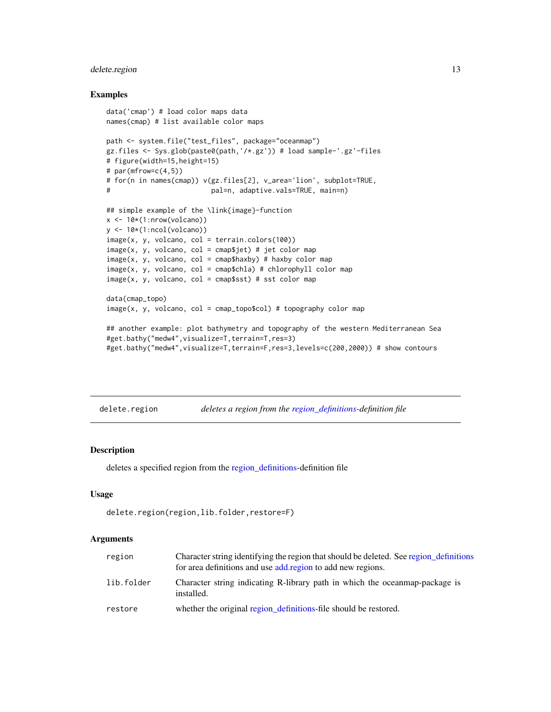# <span id="page-12-0"></span>delete.region 13

#### Examples

```
data('cmap') # load color maps data
names(cmap) # list available color maps
path <- system.file("test_files", package="oceanmap")
gz.files <- Sys.glob(paste0(path,'/*.gz')) # load sample-'.gz'-files
# figure(width=15,height=15)
# par(mfrow=c(4,5))
# for(n in names(cmap)) v(gz.files[2], v_area='lion', subplot=TRUE,
# pal=n, adaptive.vals=TRUE, main=n)
## simple example of the \link{image}-function
x \leq -10*(1:nrow(volcano))y \leftarrow 10*(1:ncol(volcano))image(x, y, volcano, col = terrain.close(100))image(x, y, volcano, col = camp$jet) # jet color mapimage(x, y, volcano, col = camp\haxby) # haxby color map
image(x, y, volcano, col = camp$chla) # chlorophyll color mapimage(x, y, volcano, col = camp$$st) # sst color mapdata(cmap_topo)
image(x, y, volcano, col = camp\_top0$col) # topography color map## another example: plot bathymetry and topography of the western Mediterranean Sea
#get.bathy("medw4",visualize=T,terrain=T,res=3)
#get.bathy("medw4",visualize=T,terrain=F,res=3,levels=c(200,2000)) # show contours
```
<span id="page-12-1"></span>delete.region *deletes a region from the [region\\_definitions-](#page-33-1)definition file*

# **Description**

deletes a specified region from the [region\\_definitions-](#page-33-1)definition file

### Usage

```
delete.region(region,lib.folder,restore=F)
```

| region     | Character string identifying the region that should be deleted. See region definitions<br>for area definitions and use add region to add new regions. |
|------------|-------------------------------------------------------------------------------------------------------------------------------------------------------|
| lib.folder | Character string indicating R-library path in which the oceanmap-package is<br>installed.                                                             |
| restore    | whether the original region definitions-file should be restored.                                                                                      |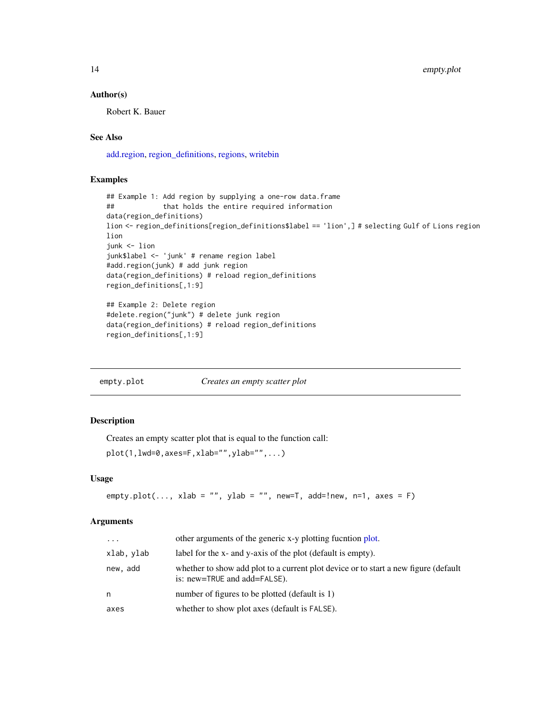<span id="page-13-0"></span>14 empty.plot

#### Author(s)

Robert K. Bauer

# See Also

[add.region,](#page-2-1) [region\\_definitions,](#page-33-1) [regions,](#page-32-1) [writebin](#page-46-1)

#### Examples

```
## Example 1: Add region by supplying a one-row data.frame
## that holds the entire required information
data(region_definitions)
lion <- region_definitions[region_definitions$label == 'lion',] # selecting Gulf of Lions region
lion
junk <- lion
junk$label <- 'junk' # rename region label
#add.region(junk) # add junk region
data(region_definitions) # reload region_definitions
region_definitions[,1:9]
## Example 2: Delete region
```

```
#delete.region("junk") # delete junk region
data(region_definitions) # reload region_definitions
region_definitions[,1:9]
```

| empty.plot | Creates an empty scatter plot |
|------------|-------------------------------|
|            |                               |

# Description

Creates an empty scatter plot that is equal to the function call:

```
plot(1, lwd=0, axes=F, xlab="", ylab="", \ldots)
```
#### Usage

```
empty.plot(..., xlab = "", ylab = "", new=T, add=!new, n=1, axes = F)
```

| $\cdot$ $\cdot$ $\cdot$ | other arguments of the generic x-y plotting fucntion plot.                                                          |
|-------------------------|---------------------------------------------------------------------------------------------------------------------|
| xlab, ylab              | label for the x- and y-axis of the plot (default is empty).                                                         |
| new, add                | whether to show add plot to a current plot device or to start a new figure (default<br>is: new=TRUE and add=FALSE). |
| n                       | number of figures to be plotted (default is 1)                                                                      |
| axes                    | whether to show plot axes (default is FALSE).                                                                       |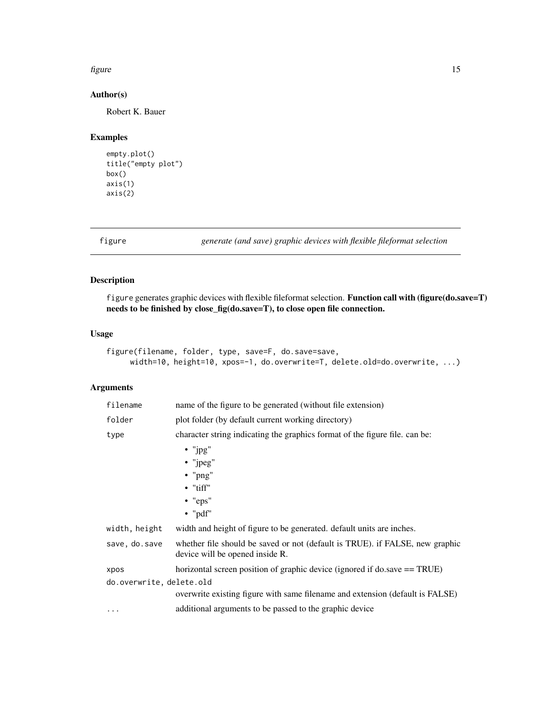#### <span id="page-14-0"></span>figure that the state of the state of the state of the state of the state of the state of the state of the state of the state of the state of the state of the state of the state of the state of the state of the state of th

# Author(s)

Robert K. Bauer

# Examples

```
empty.plot()
title("empty plot")
box()
axis(1)
axis(2)
```
<span id="page-14-1"></span>figure *generate (and save) graphic devices with flexible fileformat selection*

# Description

figure generates graphic devices with flexible fileformat selection. Function call with (figure(do.save=T) needs to be finished by close\_fig(do.save=T), to close open file connection.

#### Usage

```
figure(filename, folder, type, save=F, do.save=save,
     width=10, height=10, xpos=-1, do.overwrite=T, delete.old=do.overwrite, ...)
```

| filename                 | name of the figure to be generated (without file extension)                                                     |
|--------------------------|-----------------------------------------------------------------------------------------------------------------|
| folder                   | plot folder (by default current working directory)                                                              |
| type                     | character string indicating the graphics format of the figure file. can be:                                     |
|                          | $\cdot$ "jpg"<br>$\bullet$ "jpeg"<br>$\bullet$ "png"<br>$\bullet$ "tiff"<br>$\bullet$ "eps"<br>$\bullet$ "pdf"  |
| width, height            | width and height of figure to be generated. default units are inches.                                           |
| save, do.save            | whether file should be saved or not (default is TRUE). if FALSE, new graphic<br>device will be opened inside R. |
| xpos                     | horizontal screen position of graphic device (ignored if do.save == TRUE)                                       |
| do.overwrite, delete.old |                                                                                                                 |
|                          | overwrite existing figure with same filename and extension (default is FALSE)                                   |
| $\cdot$                  | additional arguments to be passed to the graphic device                                                         |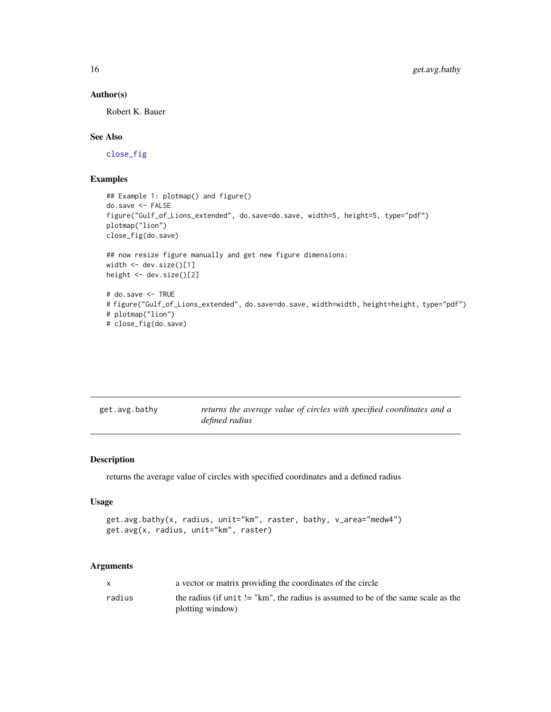# Author(s)

Robert K. Bauer

# See Also

[close\\_fig](#page-10-1)

# Examples

```
## Example 1: plotmap() and figure()
do.save <- FALSE
figure("Gulf_of_Lions_extended", do.save=do.save, width=5, height=5, type="pdf")
plotmap("lion")
close_fig(do.save)
## now resize figure manually and get new figure dimensions:
width <- dev.size()[1]
height <- dev.size()[2]
# do.save <- TRUE
# figure("Gulf_of_Lions_extended", do.save=do.save, width=width, height=height, type="pdf")
# plotmap("lion")
```

```
# close_fig(do.save)
```
<span id="page-15-1"></span>

| get.avg.bathy | returns the average value of circles with specified coordinates and a |  |  |  |
|---------------|-----------------------------------------------------------------------|--|--|--|
|               | defined radius                                                        |  |  |  |

# Description

returns the average value of circles with specified coordinates and a defined radius

# Usage

```
get.avg.bathy(x, radius, unit="km", raster, bathy, v_area="medw4")
get.avg(x, radius, unit="km", raster)
```

|        | a vector or matrix providing the coordinates of the circle                          |
|--------|-------------------------------------------------------------------------------------|
| radius | the radius (if unit $!=$ "km", the radius is assumed to be of the same scale as the |
|        | plotting window)                                                                    |

<span id="page-15-0"></span>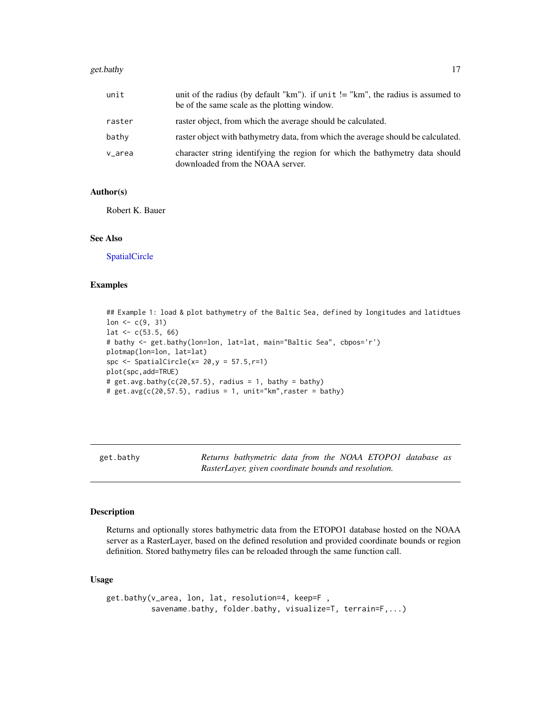#### <span id="page-16-0"></span>get.bathy 17

| unit   | unit of the radius (by default "km"). if unit $!=$ "km", the radius is assumed to<br>be of the same scale as the plotting window. |
|--------|-----------------------------------------------------------------------------------------------------------------------------------|
| raster | raster object, from which the average should be calculated.                                                                       |
| bathy  | raster object with bathymetry data, from which the average should be calculated.                                                  |
| v_area | character string identifying the region for which the bathymetry data should<br>downloaded from the NOAA server.                  |

#### Author(s)

Robert K. Bauer

#### See Also

[SpatialCircle](#page-37-1)

# Examples

## Example 1: load & plot bathymetry of the Baltic Sea, defined by longitudes and latidtues  $lon < -c(9, 31)$ lat  $<-c(53.5, 66)$ # bathy <- get.bathy(lon=lon, lat=lat, main="Baltic Sea", cbpos='r') plotmap(lon=lon, lat=lat) spc  $\leq$  SpatialCircle(x= 20, y = 57.5, r=1) plot(spc,add=TRUE) #  $get.argv.bathy(c(20, 57.5), radius = 1, bathy = bathy)$ #  $get.argv(c(20, 57.5), radius = 1, unit="km", raster = bathy)$ 

<span id="page-16-1"></span>get.bathy *Returns bathymetric data from the NOAA ETOPO1 database as RasterLayer, given coordinate bounds and resolution.*

#### Description

Returns and optionally stores bathymetric data from the ETOPO1 database hosted on the NOAA server as a RasterLayer, based on the defined resolution and provided coordinate bounds or region definition. Stored bathymetry files can be reloaded through the same function call.

#### Usage

```
get.bathy(v_area, lon, lat, resolution=4, keep=F ,
         savename.bathy, folder.bathy, visualize=T, terrain=F,...)
```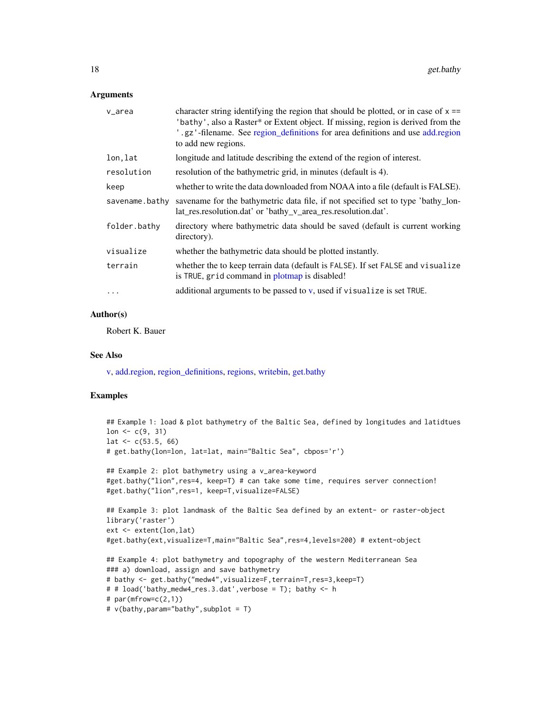#### <span id="page-17-0"></span>**Arguments**

| v_area         | character string identifying the region that should be plotted, or in case of $x =$<br>'bathy', also a Raster* or Extent object. If missing, region is derived from the<br>.gz'-filename. See region_definitions for area definitions and use add.region<br>to add new regions. |
|----------------|---------------------------------------------------------------------------------------------------------------------------------------------------------------------------------------------------------------------------------------------------------------------------------|
| lon, lat       | longitude and latitude describing the extend of the region of interest.                                                                                                                                                                                                         |
| resolution     | resolution of the bathymetric grid, in minutes (default is 4).                                                                                                                                                                                                                  |
| keep           | whether to write the data downloaded from NOAA into a file (default is FALSE).                                                                                                                                                                                                  |
| savename.bathy | savename for the bathymetric data file, if not specified set to type 'bathy_lon-<br>lat_res.resolution.dat' or 'bathy_v_area_res.resolution.dat'.                                                                                                                               |
| folder.bathy   | directory where bathymetric data should be saved (default is current working<br>directory).                                                                                                                                                                                     |
| visualize      | whether the bathymetric data should be plotted instantly.                                                                                                                                                                                                                       |
| terrain        | whether the to keep terrain data (default is FALSE). If set FALSE and visualize<br>is TRUE, grid command in plotmap is disabled!                                                                                                                                                |
|                | additional arguments to be passed to $v$ , used if visualize is set TRUE.                                                                                                                                                                                                       |

# Author(s)

Robert K. Bauer

# See Also

[v,](#page-38-1) [add.region,](#page-2-1) [region\\_definitions,](#page-33-1) [regions,](#page-32-1) [writebin,](#page-46-1) [get.bathy](#page-16-1)

```
## Example 1: load & plot bathymetry of the Baltic Sea, defined by longitudes and latidtues
lon < -c(9, 31)lat \leftarrow c(53.5, 66)
# get.bathy(lon=lon, lat=lat, main="Baltic Sea", cbpos='r')
## Example 2: plot bathymetry using a v_area-keyword
#get.bathy("lion",res=4, keep=T) # can take some time, requires server connection!
#get.bathy("lion",res=1, keep=T,visualize=FALSE)
## Example 3: plot landmask of the Baltic Sea defined by an extent- or raster-object
library('raster')
ext <- extent(lon,lat)
#get.bathy(ext,visualize=T,main="Baltic Sea",res=4,levels=200) # extent-object
## Example 4: plot bathymetry and topography of the western Mediterranean Sea
### a) download, assign and save bathymetry
# bathy <- get.bathy("medw4",visualize=F,terrain=T,res=3,keep=T)
# # load('bathy_medw4_res.3.dat',verbose = T); bathy <- h
# par(mfrow=c(2,1))# v(bathy,param="bathy",subplot = T)
```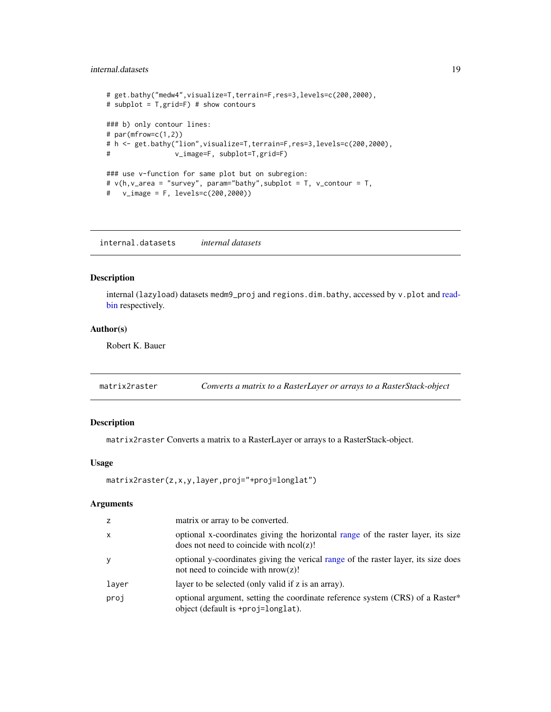# <span id="page-18-0"></span>internal.datasets 19

```
# get.bathy("medw4",visualize=T,terrain=F,res=3,levels=c(200,2000),
# subplot = T,grid=F) # show contours
### b) only contour lines:
# par(mfrow=c(1,2))
# h <- get.bathy("lion",visualize=T,terrain=F,res=3,levels=c(200,2000),
# v_image=F, subplot=T,grid=F)
### use v-function for same plot but on subregion:
# v(h,v_area = "survey", param="bathy",subplot = T, v_contour = T,
# v_image = F, levels=c(200,2000))
```
internal.datasets *internal datasets*

# Description

internal (lazyload) datasets medm9\_proj and regions.dim.bathy, accessed by v.plot and [read](#page-31-1)[bin](#page-31-1) respectively.

#### Author(s)

Robert K. Bauer

matrix2raster *Converts a matrix to a RasterLayer or arrays to a RasterStack-object*

# Description

matrix2raster Converts a matrix to a RasterLayer or arrays to a RasterStack-object.

#### Usage

```
matrix2raster(z,x,y,layer,proj="+proj=longlat")
```

| z            | matrix or array to be converted.                                                                                               |
|--------------|--------------------------------------------------------------------------------------------------------------------------------|
| $\mathsf{x}$ | optional x-coordinates giving the horizontal range of the raster layer, its size<br>does not need to coincide with $ncol(z)$ ! |
| y            | optional y-coordinates giving the verical range of the raster layer, its size does<br>not need to coincide with $nrow(z)$ !    |
| layer        | layer to be selected (only valid if z is an array).                                                                            |
| proj         | optional argument, setting the coordinate reference system (CRS) of a Raster*<br>object (default is +proj=longlat).            |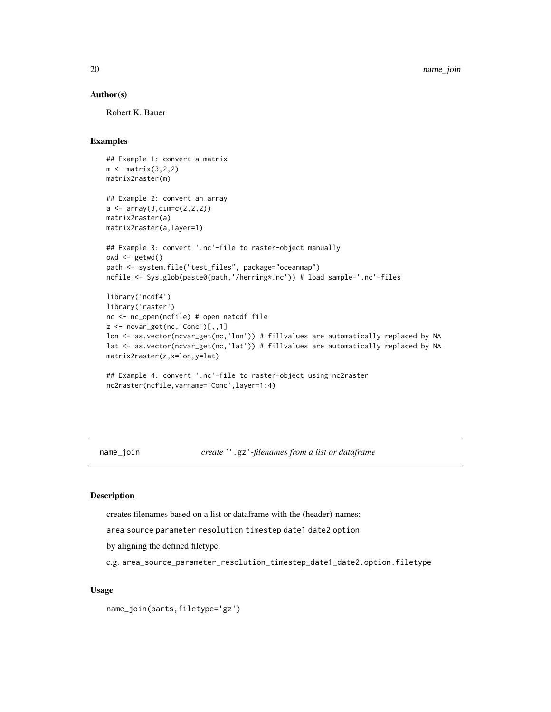### <span id="page-19-0"></span>Author(s)

Robert K. Bauer

#### Examples

```
## Example 1: convert a matrix
m \leftarrow matrix(3,2,2)matrix2raster(m)
## Example 2: convert an array
a \leftarrow array(3, \text{dim} = c(2, 2, 2))matrix2raster(a)
matrix2raster(a,layer=1)
## Example 3: convert '.nc'-file to raster-object manually
owd <- getwd()
path <- system.file("test_files", package="oceanmap")
ncfile <- Sys.glob(paste0(path,'/herring*.nc')) # load sample-'.nc'-files
library('ncdf4')
library('raster')
nc <- nc_open(ncfile) # open netcdf file
z <- ncvar_get(nc,'Conc')[,,1]
lon <- as.vector(ncvar_get(nc,'lon')) # fillvalues are automatically replaced by NA
lat <- as.vector(ncvar_get(nc,'lat')) # fillvalues are automatically replaced by NA
matrix2raster(z,x=lon,y=lat)
## Example 4: convert '.nc'-file to raster-object using nc2raster
nc2raster(ncfile,varname='Conc',layer=1:4)
```
<span id="page-19-1"></span>name\_join *create '*'.gz'*-filenames from a list or dataframe*

# Description

creates filenames based on a list or dataframe with the (header)-names:

area source parameter resolution timestep date1 date2 option

by aligning the defined filetype:

e.g. area\_source\_parameter\_resolution\_timestep\_date1\_date2.option.filetype

#### Usage

name\_join(parts,filetype='gz')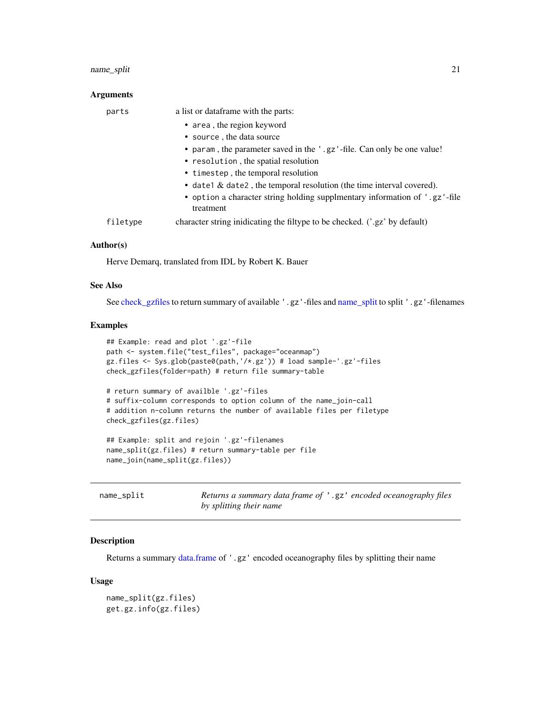# <span id="page-20-0"></span>name\_split 21

#### **Arguments**

| parts    | a list or dataframe with the parts:                                                     |
|----------|-----------------------------------------------------------------------------------------|
|          | • area, the region keyword                                                              |
|          | • source, the data source                                                               |
|          | • param, the parameter saved in the '.gz'-file. Can only be one value!                  |
|          | • resolution, the spatial resolution                                                    |
|          | • timestep, the temporal resolution                                                     |
|          | • date1 $\&$ date2, the temporal resolution (the time interval covered).                |
|          | • option a character string holding supplmentary information of '.gz'-file<br>treatment |
| filetype | character string inidicating the filtype to be checked. ('.gz' by default)              |

#### Author(s)

Herve Demarq, translated from IDL by Robert K. Bauer

# See Also

See [check\\_gzfiles](#page-7-1) to return summary of available '.gz'-files and [name\\_split](#page-20-1) to split '.gz'-filenames

# Examples

```
## Example: read and plot '.gz'-file
path <- system.file("test_files", package="oceanmap")
gz.files <- Sys.glob(paste0(path,'/*.gz')) # load sample-'.gz'-files
check_gzfiles(folder=path) # return file summary-table
# return summary of availble '.gz'-files
# suffix-column corresponds to option column of the name_join-call
# addition n-column returns the number of available files per filetype
check_gzfiles(gz.files)
## Example: split and rejoin '.gz'-filenames
name_split(gz.files) # return summary-table per file
name_join(name_split(gz.files))
```
<span id="page-20-1"></span>

| name_split | Returns a summary data frame of '.gz' encoded oceanography files |  |
|------------|------------------------------------------------------------------|--|
|            | by splitting their name                                          |  |

#### Description

Returns a summary [data.frame](#page-0-0) of '.gz' encoded oceanography files by splitting their name

#### Usage

name\_split(gz.files) get.gz.info(gz.files)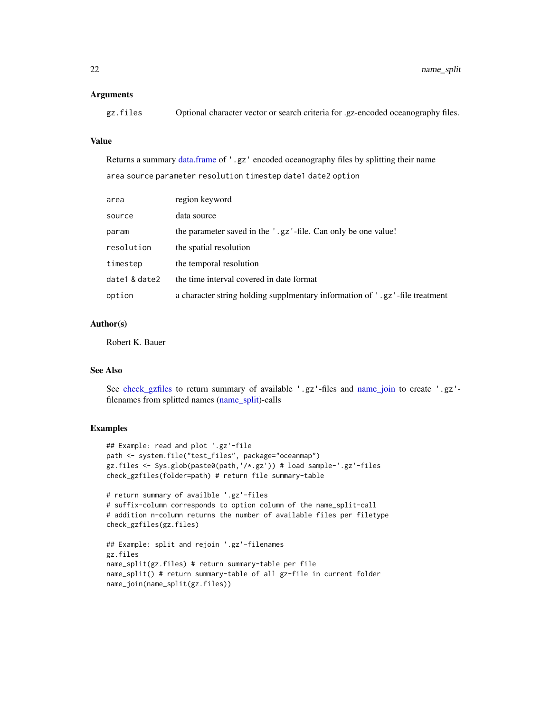#### <span id="page-21-0"></span>**Arguments**

| gz.files |  |  | Optional character vector or search criteria for .gz-encoded oceanography files. |
|----------|--|--|----------------------------------------------------------------------------------|
|          |  |  |                                                                                  |

# Value

Returns a summary [data.frame](#page-0-0) of '.gz' encoded oceanography files by splitting their name area source parameter resolution timestep date1 date2 option

| area          | region keyword                                                              |
|---------------|-----------------------------------------------------------------------------|
| source        | data source                                                                 |
| param         | the parameter saved in the '.gz'-file. Can only be one value!               |
| resolution    | the spatial resolution                                                      |
| timestep      | the temporal resolution                                                     |
| date1 & date2 | the time interval covered in date format                                    |
| option        | a character string holding supplmentary information of '.gz'-file treatment |

# Author(s)

Robert K. Bauer

#### See Also

See [check\\_gzfiles](#page-7-1) to return summary of available '.gz'-files and [name\\_join](#page-19-1) to create '.gz' filenames from splitted names [\(name\\_split\)](#page-20-1)-calls

```
## Example: read and plot '.gz'-file
path <- system.file("test_files", package="oceanmap")
gz.files <- Sys.glob(paste0(path,'/*.gz')) # load sample-'.gz'-files
check_gzfiles(folder=path) # return file summary-table
# return summary of availble '.gz'-files
# suffix-column corresponds to option column of the name_split-call
# addition n-column returns the number of available files per filetype
check_gzfiles(gz.files)
```

```
## Example: split and rejoin '.gz'-filenames
gz.files
name_split(gz.files) # return summary-table per file
name_split() # return summary-table of all gz-file in current folder
name_join(name_split(gz.files))
```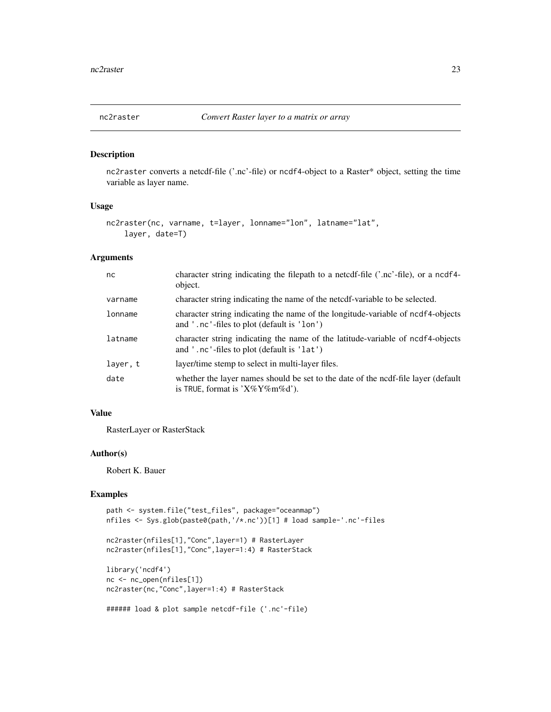<span id="page-22-0"></span>

# Description

nc2raster converts a netcdf-file ('.nc'-file) or ncdf4-object to a Raster\* object, setting the time variable as layer name.

#### Usage

```
nc2raster(nc, varname, t=layer, lonname="lon", latname="lat",
    layer, date=T)
```
# Arguments

| nc       | character string indicating the filepath to a netcdf-file $\beta$ .nc'-file), or a nedf4-<br>object.                          |
|----------|-------------------------------------------------------------------------------------------------------------------------------|
| varname  | character string indicating the name of the neter-variable to be selected.                                                    |
| lonname  | character string indicating the name of the longitude-variable of ncdf4-objects<br>and '.nc'-files to plot (default is 'lon') |
| latname  | character string indicating the name of the latitude-variable of ncdf4-objects<br>and '.nc'-files to plot (default is 'lat')  |
| layer, t | layer/time stemp to select in multi-layer files.                                                                              |
| date     | whether the layer names should be set to the date of the ncdf-file layer (default<br>is TRUE, format is $'X\%Y\%m\%d'$ .      |

#### Value

RasterLayer or RasterStack

#### Author(s)

Robert K. Bauer

```
path <- system.file("test_files", package="oceanmap")
nfiles <- Sys.glob(paste0(path,'/*.nc'))[1] # load sample-'.nc'-files
nc2raster(nfiles[1],"Conc",layer=1) # RasterLayer
nc2raster(nfiles[1],"Conc",layer=1:4) # RasterStack
library('ncdf4')
nc <- nc_open(nfiles[1])
nc2raster(nc,"Conc",layer=1:4) # RasterStack
```

```
###### load & plot sample netcdf-file ('.nc'-file)
```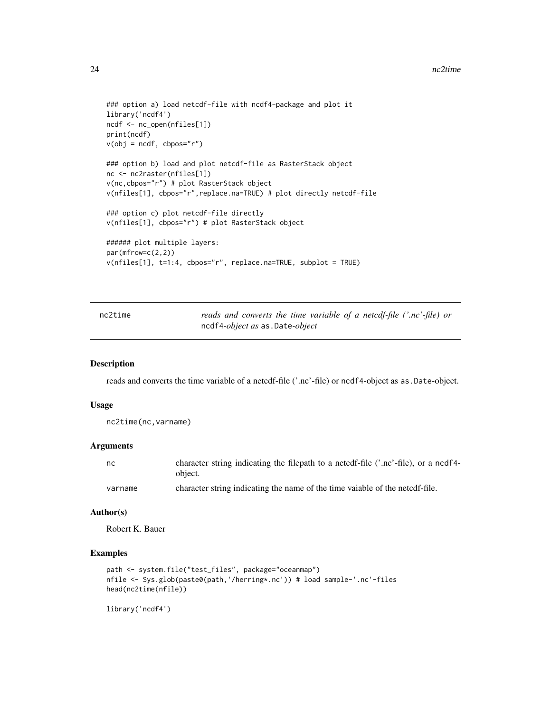#### <span id="page-23-0"></span>24 nc2time and  $\alpha$  nc2time and  $\alpha$  nc2time and  $\alpha$  nc2time and  $\alpha$  nc2time and  $\alpha$

```
### option a) load netcdf-file with ncdf4-package and plot it
library('ncdf4')
ncdf <- nc_open(nfiles[1])
print(ncdf)
v(obj = ncdf, cbpos="')### option b) load and plot netcdf-file as RasterStack object
nc <- nc2raster(nfiles[1])
v(nc,cbpos="r") # plot RasterStack object
v(nfiles[1], cbpos="r",replace.na=TRUE) # plot directly netcdf-file
### option c) plot netcdf-file directly
v(nfiles[1], cbpos="r") # plot RasterStack object
###### plot multiple layers:
par(mfrow=c(2,2))
v(nfiles[1], t=1:4, cbpos="r", replace.na=TRUE, subplot = TRUE)
```

| nc2time | reads and converts the time variable of a netcdf-file ('.nc'-file) or |
|---------|-----------------------------------------------------------------------|
|         | ncdf4-object as as.Date-object                                        |

# Description

reads and converts the time variable of a netcdf-file ('.nc'-file) or ncdf4-object as as.Date-object.

# Usage

```
nc2time(nc,varname)
```
#### Arguments

| nc      | character string indicating the filepath to a netcdf-file ('.nc'-file), or a ncdf4- |
|---------|-------------------------------------------------------------------------------------|
|         | object.                                                                             |
| varname | character string indicating the name of the time vaiable of the netcdf-file.        |

#### Author(s)

Robert K. Bauer

# Examples

```
path <- system.file("test_files", package="oceanmap")
nfile <- Sys.glob(paste0(path,'/herring*.nc')) # load sample-'.nc'-files
head(nc2time(nfile))
```
library('ncdf4')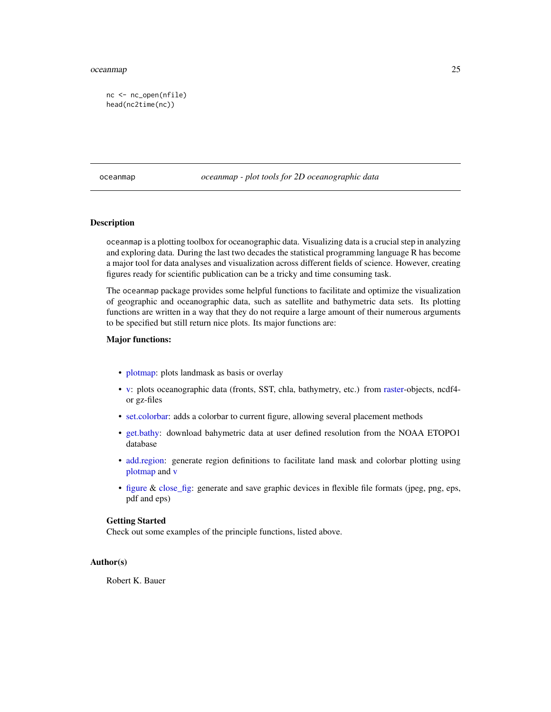#### <span id="page-24-0"></span>oceanmap 25

nc <- nc\_open(nfile) head(nc2time(nc))

oceanmap *oceanmap - plot tools for 2D oceanographic data*

# **Description**

oceanmap is a plotting toolbox for oceanographic data. Visualizing data is a crucial step in analyzing and exploring data. During the last two decades the statistical programming language R has become a major tool for data analyses and visualization across different fields of science. However, creating figures ready for scientific publication can be a tricky and time consuming task.

The oceanmap package provides some helpful functions to facilitate and optimize the visualization of geographic and oceanographic data, such as satellite and bathymetric data sets. Its plotting functions are written in a way that they do not require a large amount of their numerous arguments to be specified but still return nice plots. Its major functions are:

# Major functions:

- [plotmap:](#page-27-1) plots landmask as basis or overlay
- [v:](#page-38-1) plots oceanographic data (fronts, SST, chla, bathymetry, etc.) from [raster-](#page-0-0)objects, ncdf4 or gz-files
- [set.colorbar:](#page-35-1) adds a colorbar to current figure, allowing several placement methods
- [get.bathy:](#page-16-1) download bahymetric data at user defined resolution from the NOAA ETOPO1 database
- [add.region:](#page-2-1) generate region definitions to facilitate land mask and colorbar plotting using [plotmap](#page-27-1) and [v](#page-38-1)
- [figure](#page-14-1) & [close\\_fig:](#page-10-1) generate and save graphic devices in flexible file formats (jpeg, png, eps, pdf and eps)

#### Getting Started

Check out some examples of the principle functions, listed above.

# Author(s)

Robert K. Bauer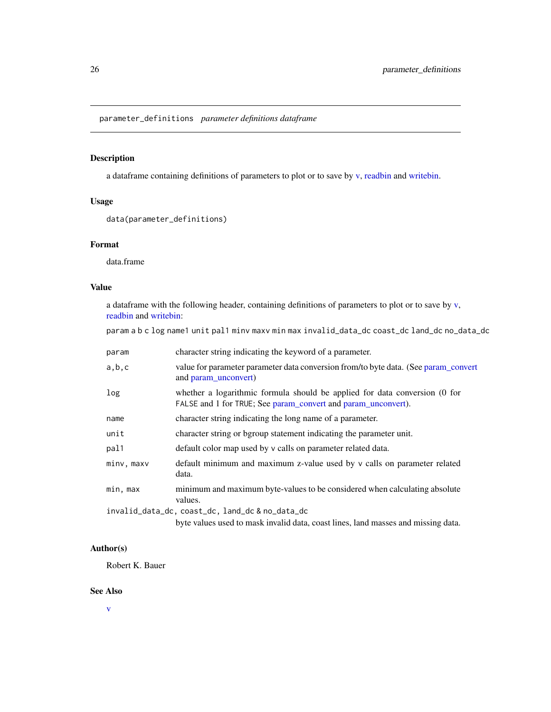<span id="page-25-1"></span><span id="page-25-0"></span>parameter\_definitions *parameter definitions dataframe*

# Description

a dataframe containing definitions of parameters to plot or to save by [v,](#page-38-1) [readbin](#page-31-1) and [writebin.](#page-46-1)

#### Usage

```
data(parameter_definitions)
```
# Format

data.frame

# Value

a dataframe with the following header, containing definitions of parameters to plot or to save by [v,](#page-38-1) [readbin](#page-31-1) and [writebin:](#page-46-1)

param a b c log name1 unit pal1 minv maxv min max invalid\_data\_dc coast\_dc land\_dc no\_data\_dc

| param      | character string indicating the keyword of a parameter.                                                                                     |  |
|------------|---------------------------------------------------------------------------------------------------------------------------------------------|--|
| a,b,c      | value for parameter parameter data conversion from/to byte data. (See param_convert<br>and param unconvert)                                 |  |
| log        | whether a logarithmic formula should be applied for data conversion (0 for<br>FALSE and 1 for TRUE; See param_convert and param_unconvert). |  |
| name       | character string indicating the long name of a parameter.                                                                                   |  |
| unit       | character string or bgroup statement indicating the parameter unit.                                                                         |  |
| pal1       | default color map used by v calls on parameter related data.                                                                                |  |
| minv, maxv | default minimum and maximum z-value used by v calls on parameter related<br>data.                                                           |  |
| min, max   | minimum and maximum byte-values to be considered when calculating absolute<br>values.                                                       |  |
|            | invalid_data_dc, coast_dc, land_dc & no_data_dc                                                                                             |  |
|            | byte values used to mask invalid data, coast lines, land masses and missing data.                                                           |  |

# Author(s)

Robert K. Bauer

#### See Also

[v](#page-38-1)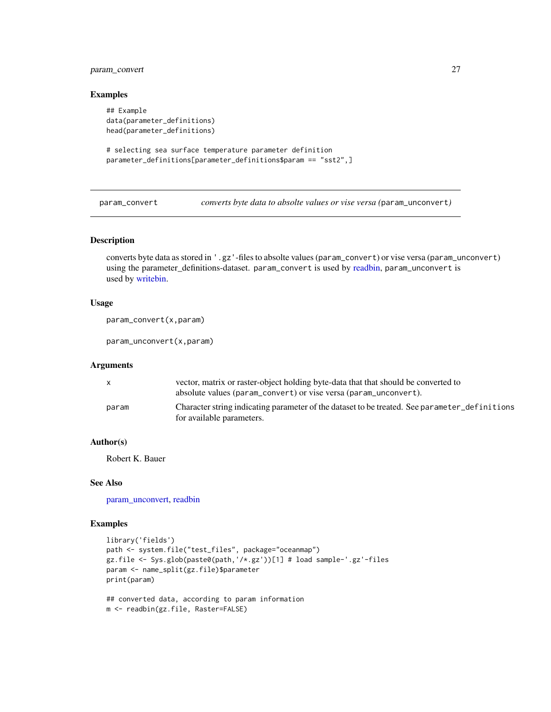# <span id="page-26-0"></span>param\_convert 27

#### Examples

```
## Example
data(parameter_definitions)
head(parameter_definitions)
```

```
# selecting sea surface temperature parameter definition
parameter_definitions[parameter_definitions$param == "sst2",]
```
<span id="page-26-2"></span>param\_convert *converts byte data to absolte values or vise versa (*param\_unconvert*)*

#### <span id="page-26-1"></span>Description

converts byte data as stored in '.gz'-files to absolte values (param\_convert) or vise versa (param\_unconvert) using the parameter\_definitions-dataset. param\_convert is used by [readbin,](#page-31-1) param\_unconvert is used by [writebin.](#page-46-1)

# Usage

```
param_convert(x,param)
```
param\_unconvert(x,param)

#### Arguments

| $\mathsf{x}$ | vector, matrix or raster-object holding byte-data that that should be converted to<br>absolute values (param_convert) or vise versa (param_unconvert). |
|--------------|--------------------------------------------------------------------------------------------------------------------------------------------------------|
| param        | Character string indicating parameter of the dataset to be treated. See parameter definitions<br>for available parameters.                             |

# Author(s)

Robert K. Bauer

# See Also

[param\\_unconvert,](#page-26-1) [readbin](#page-31-1)

```
library('fields')
path <- system.file("test_files", package="oceanmap")
gz.file <- Sys.glob(paste0(path,'/*.gz'))[1] # load sample-'.gz'-files
param <- name_split(gz.file)$parameter
print(param)
```

```
## converted data, according to param information
m <- readbin(gz.file, Raster=FALSE)
```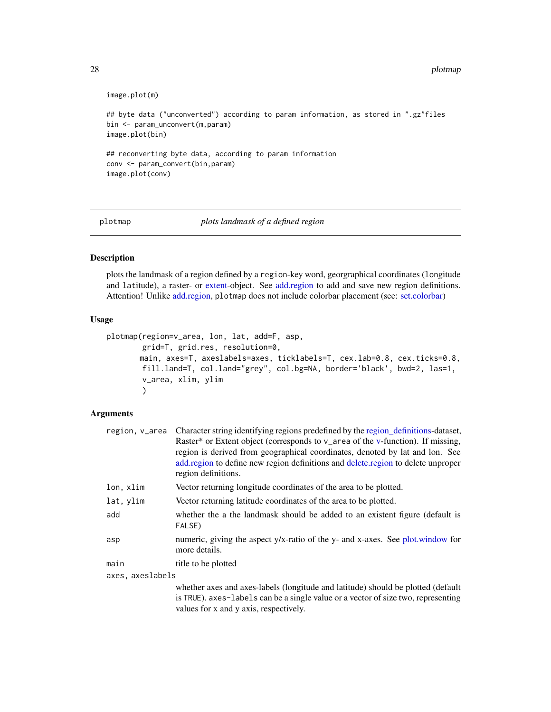```
image.plot(m)
## byte data ("unconverted") according to param information, as stored in ".gz"files
bin <- param_unconvert(m,param)
image.plot(bin)
## reconverting byte data, according to param information
conv <- param_convert(bin,param)
image.plot(conv)
```
<span id="page-27-1"></span>plotmap *plots landmask of a defined region*

# Description

plots the landmask of a region defined by a region-key word, georgraphical coordinates (longitude and latitude), a raster- or [extent-](#page-0-0)object. See [add.region](#page-2-1) to add and save new region definitions. Attention! Unlike [add.region,](#page-2-1) plotmap does not include colorbar placement (see: [set.colorbar\)](#page-35-1)

#### Usage

```
plotmap(region=v_area, lon, lat, add=F, asp,
       grid=T, grid.res, resolution=0,
       main, axes=T, axeslabels=axes, ticklabels=T, cex.lab=0.8, cex.ticks=0.8,
       fill.land=T, col.land="grey", col.bg=NA, border='black', bwd=2, las=1,
       v_area, xlim, ylim
       )
```

| region, v_area   | Character string identifying regions predefined by the region definitions-dataset,<br>Raster* or Extent object (corresponds to v_area of the v-function). If missing,<br>region is derived from geographical coordinates, denoted by lat and lon. See<br>add.region to define new region definitions and delete.region to delete unproper<br>region definitions. |  |
|------------------|------------------------------------------------------------------------------------------------------------------------------------------------------------------------------------------------------------------------------------------------------------------------------------------------------------------------------------------------------------------|--|
| lon, xlim        | Vector returning longitude coordinates of the area to be plotted.                                                                                                                                                                                                                                                                                                |  |
| lat, ylim        | Vector returning latitude coordinates of the area to be plotted.                                                                                                                                                                                                                                                                                                 |  |
| add              | whether the a the landmask should be added to an existent figure (default is<br>FALSE)                                                                                                                                                                                                                                                                           |  |
| asp              | numeric, giving the aspect y/x-ratio of the y- and x-axes. See plot window for<br>more details.                                                                                                                                                                                                                                                                  |  |
| main             | title to be plotted                                                                                                                                                                                                                                                                                                                                              |  |
| axes, axeslabels |                                                                                                                                                                                                                                                                                                                                                                  |  |
|                  | whether axes and axes-labels (longitude and latitude) should be plotted (default<br>is TRUE). axes-labels can be a single value or a vector of size two, representing<br>values for x and y axis, respectively.                                                                                                                                                  |  |

<span id="page-27-0"></span>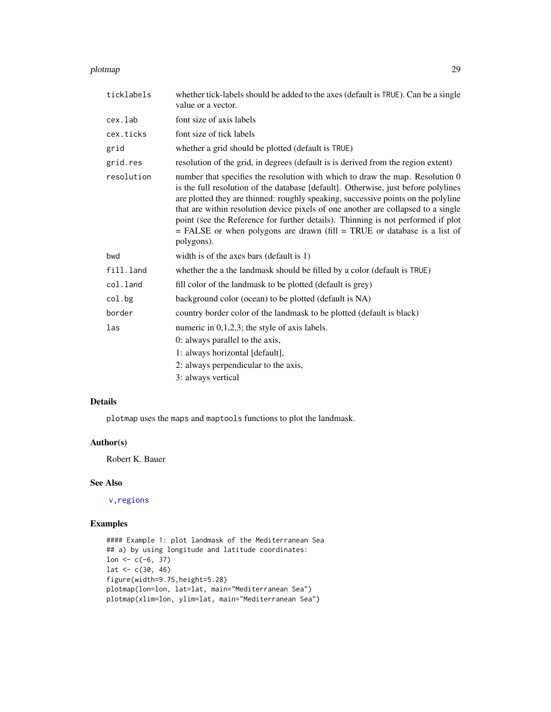#### <span id="page-28-0"></span>plotmap 29

| ticklabels | whether tick-labels should be added to the axes (default is TRUE). Can be a single<br>value or a vector.                                                                                                                                                                                                                                                                                                                                                                                                                        |  |
|------------|---------------------------------------------------------------------------------------------------------------------------------------------------------------------------------------------------------------------------------------------------------------------------------------------------------------------------------------------------------------------------------------------------------------------------------------------------------------------------------------------------------------------------------|--|
| cex.lab    | font size of axis labels                                                                                                                                                                                                                                                                                                                                                                                                                                                                                                        |  |
| cex.ticks  | font size of tick labels                                                                                                                                                                                                                                                                                                                                                                                                                                                                                                        |  |
| grid       | whether a grid should be plotted (default is TRUE)                                                                                                                                                                                                                                                                                                                                                                                                                                                                              |  |
| grid.res   | resolution of the grid, in degrees (default is is derived from the region extent)                                                                                                                                                                                                                                                                                                                                                                                                                                               |  |
| resolution | number that specifies the resolution with which to draw the map. Resolution 0<br>is the full resolution of the database [default]. Otherwise, just before polylines<br>are plotted they are thinned: roughly speaking, successive points on the polyline<br>that are within resolution device pixels of one another are collapsed to a single<br>point (see the Reference for further details). Thinning is not performed if plot<br>$=$ FALSE or when polygons are drawn (fill $=$ TRUE or database is a list of<br>polygons). |  |
| bwd        | width is of the axes bars (default is 1)                                                                                                                                                                                                                                                                                                                                                                                                                                                                                        |  |
| fill.land  | whether the a the landmask should be filled by a color (default is TRUE)                                                                                                                                                                                                                                                                                                                                                                                                                                                        |  |
| col.land   | fill color of the landmask to be plotted (default is grey)                                                                                                                                                                                                                                                                                                                                                                                                                                                                      |  |
| col.bg     | background color (ocean) to be plotted (default is NA)                                                                                                                                                                                                                                                                                                                                                                                                                                                                          |  |
| border     | country border color of the landmask to be plotted (default is black)                                                                                                                                                                                                                                                                                                                                                                                                                                                           |  |
| las        | numeric in $0,1,2,3$ ; the style of axis labels.                                                                                                                                                                                                                                                                                                                                                                                                                                                                                |  |
|            | 0: always parallel to the axis,                                                                                                                                                                                                                                                                                                                                                                                                                                                                                                 |  |
|            | 1: always horizontal [default],                                                                                                                                                                                                                                                                                                                                                                                                                                                                                                 |  |
|            | 2: always perpendicular to the axis,                                                                                                                                                                                                                                                                                                                                                                                                                                                                                            |  |
|            | 3: always vertical                                                                                                                                                                                                                                                                                                                                                                                                                                                                                                              |  |

# Details

plotmap uses the maps and maptools functions to plot the landmask.

# Author(s)

Robert K. Bauer

# See Also

[v,](#page-38-1)[regions](#page-32-1)

# Examples

#### Example 1: plot landmask of the Mediterranean Sea ## a) by using longitude and latitude coordinates: lon  $<-c(-6, 37)$  $lat < -c(30, 46)$ figure(width=9.75,height=5.28) plotmap(lon=lon, lat=lat, main="Mediterranean Sea") plotmap(xlim=lon, ylim=lat, main="Mediterranean Sea")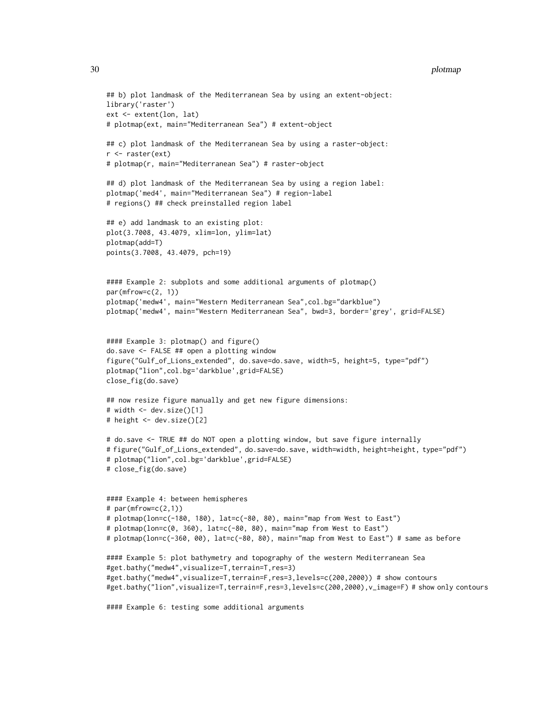#### 30 plotmap produce the contract of the contract of the contract of the plotmap plotmap plotmap plotmap.

```
## b) plot landmask of the Mediterranean Sea by using an extent-object:
library('raster')
ext <- extent(lon, lat)
# plotmap(ext, main="Mediterranean Sea") # extent-object
## c) plot landmask of the Mediterranean Sea by using a raster-object:
r <- raster(ext)
# plotmap(r, main="Mediterranean Sea") # raster-object
## d) plot landmask of the Mediterranean Sea by using a region label:
plotmap('med4', main="Mediterranean Sea") # region-label
# regions() ## check preinstalled region label
## e) add landmask to an existing plot:
plot(3.7008, 43.4079, xlim=lon, ylim=lat)
plotmap(add=T)
points(3.7008, 43.4079, pch=19)
#### Example 2: subplots and some additional arguments of plotmap()
par(mfrow=c(2, 1))plotmap('medw4', main="Western Mediterranean Sea",col.bg="darkblue")
plotmap('medw4', main="Western Mediterranean Sea", bwd=3, border='grey', grid=FALSE)
#### Example 3: plotmap() and figure()
do.save <- FALSE ## open a plotting window
figure("Gulf_of_Lions_extended", do.save=do.save, width=5, height=5, type="pdf")
plotmap("lion",col.bg='darkblue',grid=FALSE)
close_fig(do.save)
## now resize figure manually and get new figure dimensions:
# width <- dev.size()[1]
# height <- dev.size()[2]
# do.save <- TRUE ## do NOT open a plotting window, but save figure internally
# figure("Gulf_of_Lions_extended", do.save=do.save, width=width, height=height, type="pdf")
# plotmap("lion",col.bg='darkblue',grid=FALSE)
# close_fig(do.save)
#### Example 4: between hemispheres
# par(mfrow=c(2,1))
# plotmap(lon=c(-180, 180), lat=c(-80, 80), main="map from West to East")
# plotmap(lon=c(0, 360), lat=c(-80, 80), main="map from West to East")
# plotmap(lon=c(-360, 00), lat=c(-80, 80), main="map from West to East") # same as before
#### Example 5: plot bathymetry and topography of the western Mediterranean Sea
#get.bathy("medw4",visualize=T,terrain=T,res=3)
#get.bathy("medw4",visualize=T,terrain=F,res=3,levels=c(200,2000)) # show contours
#get.bathy("lion",visualize=T,terrain=F,res=3,levels=c(200,2000),v_image=F) # show only contours
#### Example 6: testing some additional arguments
```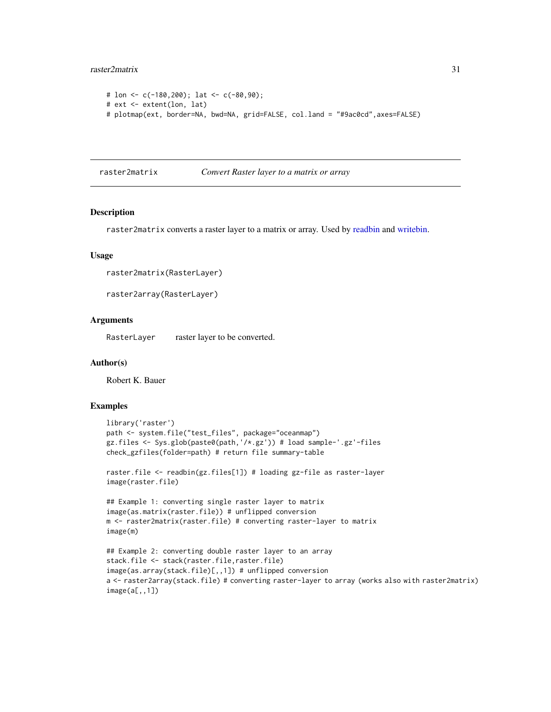#### <span id="page-30-0"></span>raster2matrix 31

```
# lon <- c(-180,200); lat <- c(-80,90);
# ext <- extent(lon, lat)
# plotmap(ext, border=NA, bwd=NA, grid=FALSE, col.land = "#9ac0cd",axes=FALSE)
```
<span id="page-30-1"></span>raster2matrix *Convert Raster layer to a matrix or array*

# Description

raster2matrix converts a raster layer to a matrix or array. Used by [readbin](#page-31-1) and [writebin.](#page-46-1)

### Usage

```
raster2matrix(RasterLayer)
```
raster2array(RasterLayer)

# Arguments

RasterLayer raster layer to be converted.

#### Author(s)

Robert K. Bauer

```
library('raster')
path <- system.file("test_files", package="oceanmap")
gz.files <- Sys.glob(paste0(path,'/*.gz')) # load sample-'.gz'-files
check_gzfiles(folder=path) # return file summary-table
```

```
raster.file <- readbin(gz.files[1]) # loading gz-file as raster-layer
image(raster.file)
```

```
## Example 1: converting single raster layer to matrix
image(as.matrix(raster.file)) # unflipped conversion
m <- raster2matrix(raster.file) # converting raster-layer to matrix
image(m)
```

```
## Example 2: converting double raster layer to an array
stack.file <- stack(raster.file,raster.file)
image(as.array(stack.file)[,,1]) # unflipped conversion
a <- raster2array(stack.file) # converting raster-layer to array (works also with raster2matrix)
image(a[,,1])
```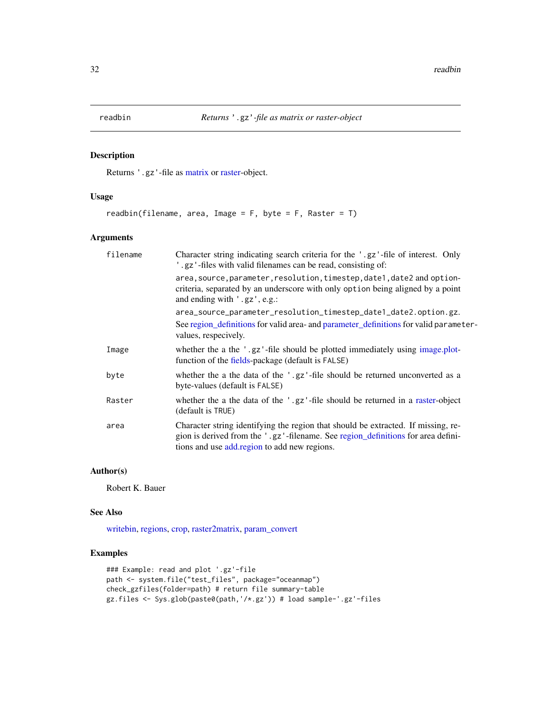<span id="page-31-1"></span><span id="page-31-0"></span>

# Description

Returns '.gz'-file as [matrix](#page-0-0) or [raster-](#page-0-0)object.

# Usage

readbin(filename, area, Image =  $F$ , byte =  $F$ , Raster =  $T$ )

# Arguments

| filename | Character string indicating search criteria for the '.gz'-file of interest. Only<br>'.gz'-files with valid filenames can be read, consisting of:                                                                      |  |
|----------|-----------------------------------------------------------------------------------------------------------------------------------------------------------------------------------------------------------------------|--|
|          | area, source, parameter, resolution, timestep, date1, date2 and option-<br>criteria, separated by an underscore with only option being aligned by a point<br>and ending with '.gz', e.g.:                             |  |
|          | area_source_parameter_resolution_timestep_date1_date2.option.gz.<br>See region_definitions for valid area- and parameter_definitions for valid parameter-<br>values, respecively.                                     |  |
| Image    | whether the a the '.gz'-file should be plotted immediately using image.plot-<br>function of the fields-package (default is FALSE)                                                                                     |  |
| byte     | whether the a the data of the '.gz'-file should be returned unconverted as a<br>byte-values (default is FALSE)                                                                                                        |  |
| Raster   | whether the a the data of the '.gz'-file should be returned in a raster-object<br>(default is TRUE)                                                                                                                   |  |
| area     | Character string identifying the region that should be extracted. If missing, re-<br>gion is derived from the '.gz'-filename. See region_definitions for area defini-<br>tions and use add region to add new regions. |  |

# Author(s)

Robert K. Bauer

# See Also

[writebin,](#page-46-1) [regions,](#page-32-1) [crop,](#page-0-0) [raster2matrix,](#page-30-1) [param\\_convert](#page-26-2)

```
### Example: read and plot '.gz'-file
path <- system.file("test_files", package="oceanmap")
check_gzfiles(folder=path) # return file summary-table
gz.files <- Sys.glob(paste0(path,'/*.gz')) # load sample-'.gz'-files
```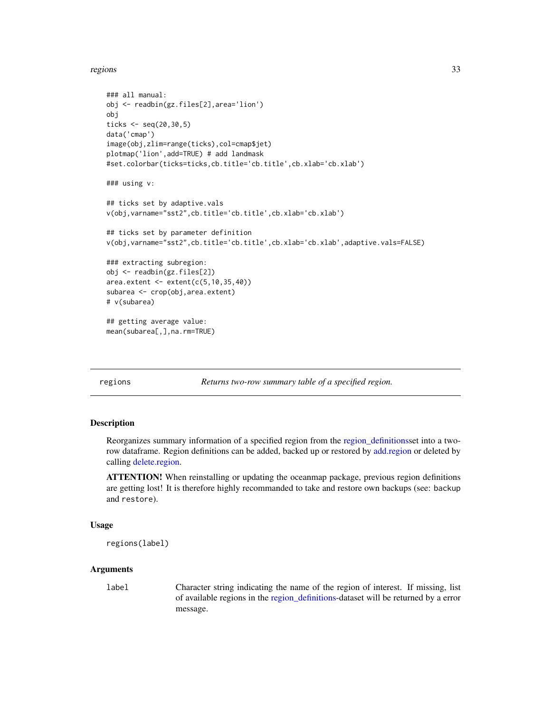<span id="page-32-0"></span>regions and the set of the set of the set of the set of the set of the set of the set of the set of the set of the set of the set of the set of the set of the set of the set of the set of the set of the set of the set of t

```
### all manual:
obj <- readbin(gz.files[2],area='lion')
obj
ticks \leq seq(20,30,5)
data('cmap')
image(obj,zlim=range(ticks),col=cmap$jet)
plotmap('lion',add=TRUE) # add landmask
#set.colorbar(ticks=ticks,cb.title='cb.title',cb.xlab='cb.xlab')
### using v:
## ticks set by adaptive.vals
v(obj,varname="sst2",cb.title='cb.title',cb.xlab='cb.xlab')
## ticks set by parameter definition
v(obj,varname="sst2",cb.title='cb.title',cb.xlab='cb.xlab',adaptive.vals=FALSE)
### extracting subregion:
obj <- readbin(gz.files[2])
area. extent < -ext{extent}(c(5, 10, 35, 40))subarea <- crop(obj,area.extent)
# v(subarea)
## getting average value:
mean(subarea[,],na.rm=TRUE)
```
<span id="page-32-1"></span>regions *Returns two-row summary table of a specified region.*

# Description

Reorganizes summary information of a specified region from the [region\\_definitionss](#page-33-1)et into a tworow dataframe. Region definitions can be added, backed up or restored by [add.region](#page-2-1) or deleted by calling [delete.region.](#page-12-1)

ATTENTION! When reinstalling or updating the oceanmap package, previous region definitions are getting lost! It is therefore highly recommanded to take and restore own backups (see: backup and restore).

#### Usage

```
regions(label)
```
#### Arguments

label Character string indicating the name of the region of interest. If missing, list of available regions in the [region\\_definitions-](#page-33-1)dataset will be returned by a error message.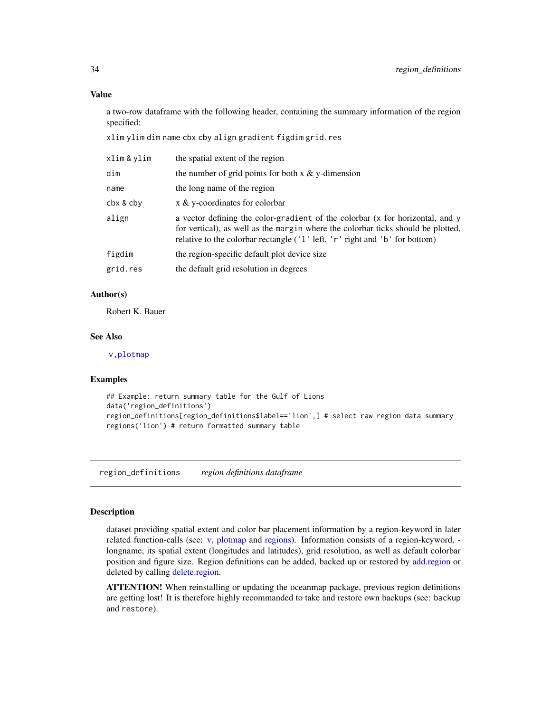a two-row dataframe with the following header, containing the summary information of the region specified:

xlim ylim dim name cbx cby align gradient figdim grid.res

| xlim & ylim | the spatial extent of the region                                                                                                                                                                                                                 |  |
|-------------|--------------------------------------------------------------------------------------------------------------------------------------------------------------------------------------------------------------------------------------------------|--|
| dim         | the number of grid points for both $x \& y$ -dimension                                                                                                                                                                                           |  |
| name        | the long name of the region                                                                                                                                                                                                                      |  |
| cbx & cby   | x & y-coordinates for colorbar                                                                                                                                                                                                                   |  |
| align       | a vector defining the color-gradient of the colorbar (x for horizontal, and y<br>for vertical), as well as the margin where the colorbar ticks should be plotted,<br>relative to the colorbar rectangle ('1' left, 'r' right and 'b' for bottom) |  |
| figdim      | the region-specific default plot device size                                                                                                                                                                                                     |  |
| grid.res    | the default grid resolution in degrees                                                                                                                                                                                                           |  |
|             |                                                                                                                                                                                                                                                  |  |

# Author(s)

Robert K. Bauer

#### See Also

[v,](#page-38-1)[plotmap](#page-27-1)

#### Examples

```
## Example: return summary table for the Gulf of Lions
data('region_definitions')
region_definitions[region_definitions$label=='lion',] # select raw region data summary
regions('lion') # return formatted summary table
```
<span id="page-33-1"></span>region\_definitions *region definitions dataframe*

#### Description

dataset providing spatial extent and color bar placement information by a region-keyword in later related function-calls (see: [v,](#page-38-1) [plotmap](#page-27-1) and [regions\)](#page-32-1). Information consists of a region-keyword, longname, its spatial extent (longitudes and latitudes), grid resolution, as well as default colorbar position and figure size. Region definitions can be added, backed up or restored by [add.region](#page-2-1) or deleted by calling [delete.region.](#page-12-1)

ATTENTION! When reinstalling or updating the oceanmap package, previous region definitions are getting lost! It is therefore highly recommanded to take and restore own backups (see: backup and restore).

<span id="page-33-0"></span>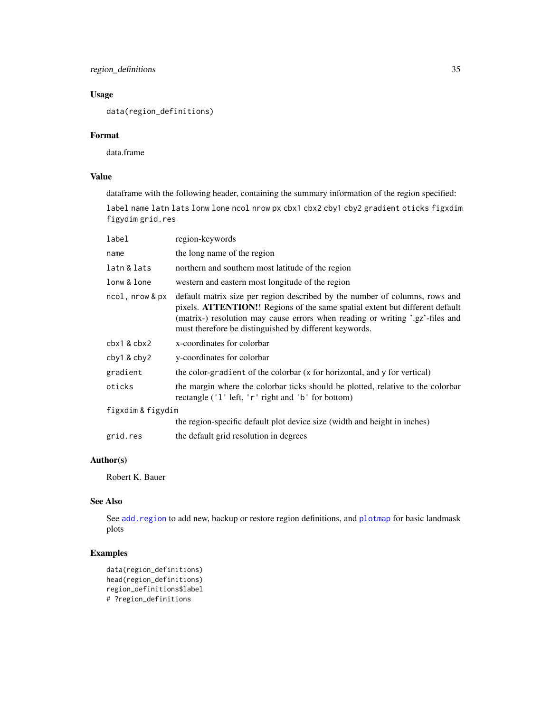<span id="page-34-0"></span>region\_definitions 35

# Usage

data(region\_definitions)

# Format

data.frame

# Value

dataframe with the following header, containing the summary information of the region specified:

label name latn lats lonw lone ncol nrow px cbx1 cbx2 cby1 cby2 gradient oticks figxdim figydim grid.res

| label                         | region-keywords                                                                                                                                                                                                                                                                                        |  |
|-------------------------------|--------------------------------------------------------------------------------------------------------------------------------------------------------------------------------------------------------------------------------------------------------------------------------------------------------|--|
| name                          | the long name of the region                                                                                                                                                                                                                                                                            |  |
| latn & lats                   | northern and southern most latitude of the region                                                                                                                                                                                                                                                      |  |
| lonw & lone                   | western and eastern most longitude of the region                                                                                                                                                                                                                                                       |  |
| $ncol$ , $nrow$ & $px$        | default matrix size per region described by the number of columns, rows and<br>pixels. ATTENTION!! Regions of the same spatial extent but different default<br>(matrix-) resolution may cause errors when reading or writing '.gz'-files and<br>must therefore be distinguished by different keywords. |  |
| $\text{cbx1}$ & $\text{cbx2}$ | x-coordinates for colorbar                                                                                                                                                                                                                                                                             |  |
| $cby1$ & $cby2$               | y-coordinates for colorbar                                                                                                                                                                                                                                                                             |  |
| gradient                      | the color-gradient of the colorbar (x for horizontal, and y for vertical)                                                                                                                                                                                                                              |  |
| oticks                        | the margin where the colorbar ticks should be plotted, relative to the colorbar<br>rectangle ('1' left, 'r' right and 'b' for bottom)                                                                                                                                                                  |  |
| figxdim & figydim             |                                                                                                                                                                                                                                                                                                        |  |
|                               | the region-specific default plot device size (width and height in inches)                                                                                                                                                                                                                              |  |
| grid.res                      | the default grid resolution in degrees                                                                                                                                                                                                                                                                 |  |

# Author(s)

Robert K. Bauer

# See Also

See [add.region](#page-2-1) to add new, backup or restore region definitions, and [plotmap](#page-27-1) for basic landmask plots

```
data(region_definitions)
head(region_definitions)
region_definitions$label
# ?region_definitions
```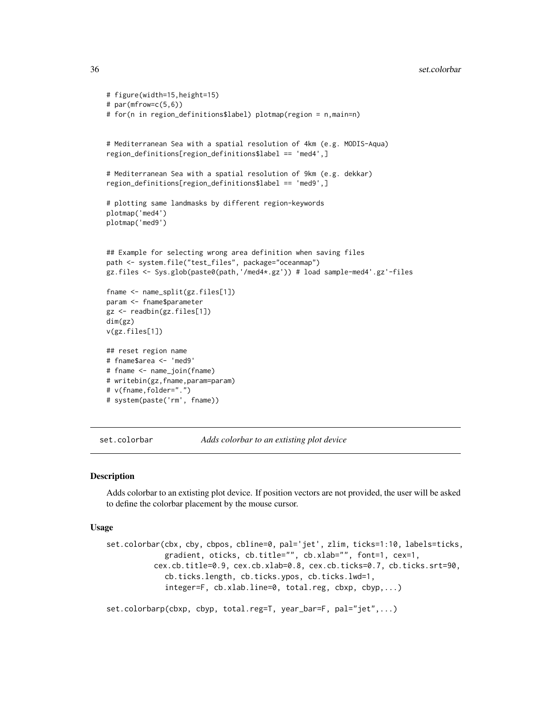```
# figure(width=15,height=15)
# par(mfrow=c(5,6))
# for(n in region_definitions$label) plotmap(region = n,main=n)
# Mediterranean Sea with a spatial resolution of 4km (e.g. MODIS-Aqua)
region_definitions[region_definitions$label == 'med4',]
# Mediterranean Sea with a spatial resolution of 9km (e.g. dekkar)
region_definitions[region_definitions$label == 'med9',]
# plotting same landmasks by different region-keywords
plotmap('med4')
plotmap('med9')
## Example for selecting wrong area definition when saving files
path <- system.file("test_files", package="oceanmap")
gz.files <- Sys.glob(paste0(path,'/med4*.gz')) # load sample-med4'.gz'-files
fname <- name_split(gz.files[1])
param <- fname$parameter
gz <- readbin(gz.files[1])
dim(gz)
v(gz.files[1])
## reset region name
# fname$area <- 'med9'
# fname <- name_join(fname)
# writebin(gz,fname,param=param)
# v(fname,folder=".")
# system(paste('rm', fname))
```
<span id="page-35-1"></span>set.colorbar *Adds colorbar to an extisting plot device*

#### Description

Adds colorbar to an extisting plot device. If position vectors are not provided, the user will be asked to define the colorbar placement by the mouse cursor.

#### Usage

```
set.colorbar(cbx, cby, cbpos, cbline=0, pal='jet', zlim, ticks=1:10, labels=ticks,
             gradient, oticks, cb.title="", cb.xlab="", font=1, cex=1,
          cex.cb.title=0.9, cex.cb.xlab=0.8, cex.cb.ticks=0.7, cb.ticks.srt=90,
             cb.ticks.length, cb.ticks.ypos, cb.ticks.lwd=1,
             integer=F, cb.xlab.line=0, total.reg, cbxp, cbyp,...)
set.colorbarp(cbxp, cbyp, total.reg=T, year_bar=F, pal="jet",...)
```
<span id="page-35-0"></span>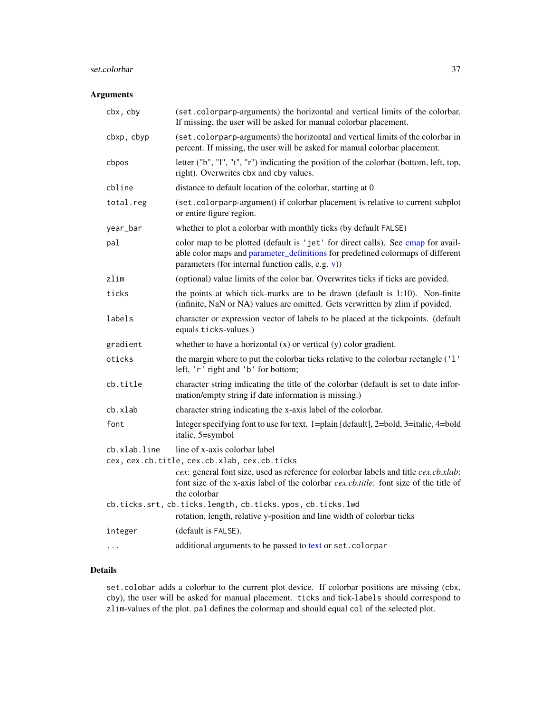# <span id="page-36-0"></span>set.colorbar 37

# Arguments

| cbx, cby     | (set.colorparp-arguments) the horizontal and vertical limits of the colorbar.<br>If missing, the user will be asked for manual colorbar placement.                                                                       |  |
|--------------|--------------------------------------------------------------------------------------------------------------------------------------------------------------------------------------------------------------------------|--|
| cbxp, cbyp   | (set.colorparp-arguments) the horizontal and vertical limits of the colorbar in<br>percent. If missing, the user will be asked for manual colorbar placement.                                                            |  |
| cbpos        | letter ("b", "l", "t", "r") indicating the position of the colorbar (bottom, left, top,<br>right). Overwrites cbx and cby values.                                                                                        |  |
| cbline       | distance to default location of the colorbar, starting at 0.                                                                                                                                                             |  |
| total.reg    | (set.colorparp-argument) if colorbar placement is relative to current subplot<br>or entire figure region.                                                                                                                |  |
| year_bar     | whether to plot a colorbar with monthly ticks (by default FALSE)                                                                                                                                                         |  |
| pal          | color map to be plotted (default is 'jet' for direct calls). See cmap for avail-<br>able color maps and parameter_definitions for predefined colormaps of different<br>parameters (for internal function calls, e.g. v)) |  |
| zlim         | (optional) value limits of the color bar. Overwrites ticks if ticks are povided.                                                                                                                                         |  |
| ticks        | the points at which tick-marks are to be drawn (default is 1:10). Non-finite<br>(infinite, NaN or NA) values are omitted. Gets verwritten by zlim if povided.                                                            |  |
| labels       | character or expression vector of labels to be placed at the tickpoints. (default<br>equals ticks-values.)                                                                                                               |  |
| gradient     | whether to have a horizontal $(x)$ or vertical $(y)$ color gradient.                                                                                                                                                     |  |
| oticks       | the margin where to put the colorbar ticks relative to the colorbar rectangle ('1'<br>left, 'r' right and 'b' for bottom;                                                                                                |  |
| cb.title     | character string indicating the title of the colorbar (default is set to date infor-<br>mation/empty string if date information is missing.)                                                                             |  |
| cb.xlab      | character string indicating the x-axis label of the colorbar.                                                                                                                                                            |  |
| font         | Integer specifying font to use for text. 1=plain [default], 2=bold, 3=italic, 4=bold<br>italic, 5=symbol                                                                                                                 |  |
| cb.xlab.line | line of x-axis colorbar label<br>cex, cex.cb.title, cex.cb.xlab, cex.cb.ticks                                                                                                                                            |  |
|              | cex: general font size, used as reference for colorbar labels and title cex.cb.xlab:<br>font size of the x-axis label of the colorbar cex.cb.title: font size of the title of<br>the colorbar                            |  |
|              | cb.ticks.srt, cb.ticks.length, cb.ticks.ypos, cb.ticks.lwd<br>rotation, length, relative y-position and line width of colorbar ticks                                                                                     |  |
| integer      | (default is FALSE).                                                                                                                                                                                                      |  |
| $\cdots$     | additional arguments to be passed to text or set. colorpar                                                                                                                                                               |  |

# Details

set.colobar adds a colorbar to the current plot device. If colorbar positions are missing (cbx, cby), the user will be asked for manual placement. ticks and tick-labels should correspond to zlim-values of the plot. pal defines the colormap and should equal col of the selected plot.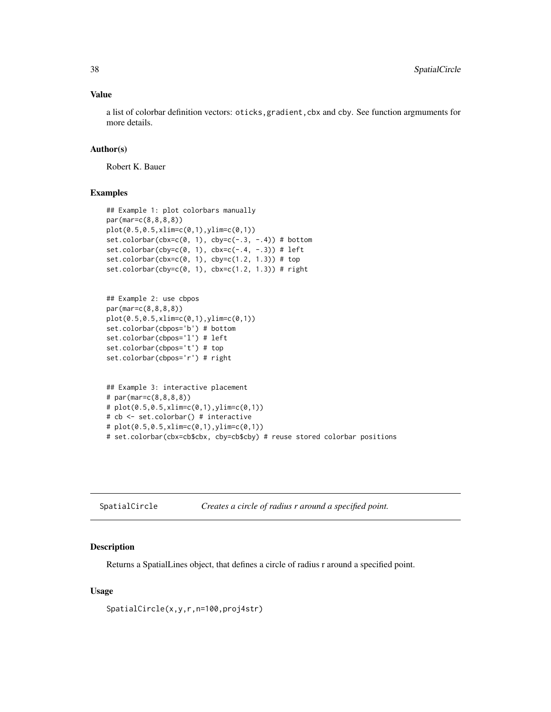#### <span id="page-37-0"></span>Value

a list of colorbar definition vectors: oticks, gradient, cbx and cby. See function argmuments for more details.

#### Author(s)

Robert K. Bauer

# Examples

```
## Example 1: plot colorbars manually
par(mar=c(8,8,8,8))
plot(0.5,0.5,xlim=c(0,1),ylim=c(0,1))
set.colorbar(cbx=c(0, 1), cby=c(-.3, -.4)) # bottom
set.colorbar(cby=c(0, 1), \text{cbx=c}(-.4, -.3)) # left
set.colorbar(cbx=c(0, 1), cby=c(1.2, 1.3)) # top
set.colorbar(cby=c(0, 1), cbx=c(1.2, 1.3)) # right
## Example 2: use cbpos
par(mar=c(8,8,8,8))
plot(0.5,0.5,xlim=c(0,1),ylim=c(0,1))
set.colorbar(cbpos='b') # bottom
set.colorbar(cbpos='l') # left
set.colorbar(cbpos='t') # top
set.colorbar(cbpos='r') # right
## Example 3: interactive placement
# par(mar=c(8,8,8,8))
# plot(0.5,0.5,xlim=c(0,1),ylim=c(0,1))
# cb <- set.colorbar() # interactive
# plot(0.5, 0.5, xlim = c(0,1), ylim = c(0,1))# set.colorbar(cbx=cb$cbx, cby=cb$cby) # reuse stored colorbar positions
```
<span id="page-37-1"></span>

| SpatialCircle | Creates a circle of radius r around a specified point. |  |
|---------------|--------------------------------------------------------|--|
|               |                                                        |  |

#### Description

Returns a SpatialLines object, that defines a circle of radius r around a specified point.

# Usage

SpatialCircle(x,y,r,n=100,proj4str)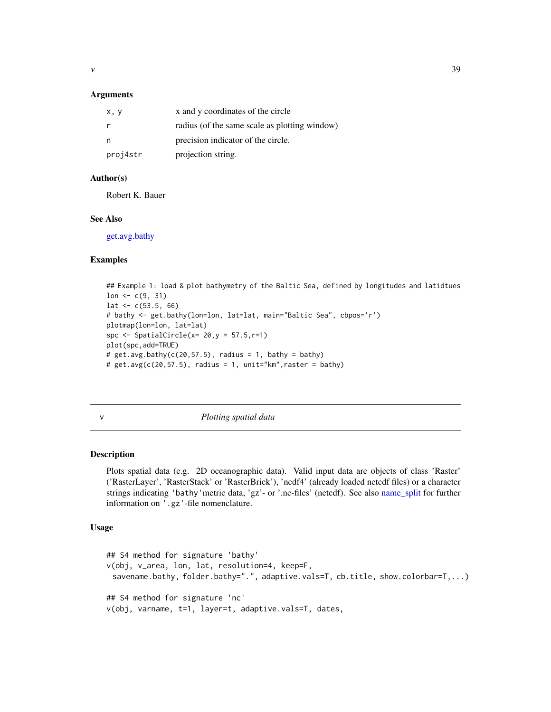<span id="page-38-0"></span>

#### **Arguments**

| x, y     | x and y coordinates of the circle             |
|----------|-----------------------------------------------|
|          | radius (of the same scale as plotting window) |
| n        | precision indicator of the circle.            |
| proj4str | projection string.                            |

# Author(s)

Robert K. Bauer

# See Also

[get.avg.bathy](#page-15-1)

# Examples

```
## Example 1: load & plot bathymetry of the Baltic Sea, defined by longitudes and latidtues
lon <-c(9, 31)lat <-c(53.5, 66)# bathy <- get.bathy(lon=lon, lat=lat, main="Baltic Sea", cbpos='r')
plotmap(lon=lon, lat=lat)
spc \le SpatialCircle(x= 20,y = 57.5,r=1)
plot(spc,add=TRUE)
# get.argv.bathy(c(20, 57.5), radius = 1, bathy = bathy)# get.argv(C(20, 57.5), radius = 1, unit="Km", raster = bathy)
```
<span id="page-38-1"></span>v *Plotting spatial data*

# Description

Plots spatial data (e.g. 2D oceanographic data). Valid input data are objects of class 'Raster' ('RasterLayer', 'RasterStack' or 'RasterBrick'), 'ncdf4' (already loaded netcdf files) or a character strings indicating 'bathy'metric data, 'gz'- or '.nc-files' (netcdf). See also [name\\_split](#page-20-1) for further information on '.gz'-file nomenclature.

### Usage

```
## S4 method for signature 'bathy'
v(obj, v_area, lon, lat, resolution=4, keep=F,
 savename.bathy, folder.bathy=".", adaptive.vals=T, cb.title, show.colorbar=T,...)
## S4 method for signature 'nc'
v(obj, varname, t=1, layer=t, adaptive.vals=T, dates,
```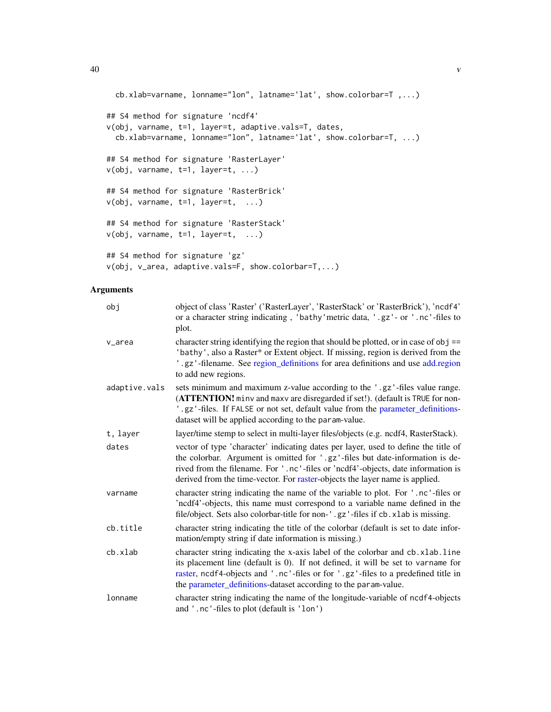```
cb.xlab=varname, lonname="lon", latname='lat', show.colorbar=T ,...)
## S4 method for signature 'ncdf4'
v(obj, varname, t=1, layer=t, adaptive.vals=T, dates,
  cb.xlab=varname, lonname="lon", latname='lat', show.colorbar=T, ...)
## S4 method for signature 'RasterLayer'
v(obj, varname, t=1, layer=t, ...)
## S4 method for signature 'RasterBrick'
v(obj, varname, t=1, layer=t, ...)
## S4 method for signature 'RasterStack'
v(obj, varname, t=1, layer=t, ...)## S4 method for signature 'gz'
v(obj, v_area, adaptive.vals=F, show.colorbar=T,...)
```

| obj           | object of class 'Raster' ('RasterLayer', 'RasterStack' or 'RasterBrick'), 'ncdf4'<br>or a character string indicating, 'bathy' metric data, '.gz'- or '.nc'-files to<br>plot.                                                                                                                                                          |
|---------------|----------------------------------------------------------------------------------------------------------------------------------------------------------------------------------------------------------------------------------------------------------------------------------------------------------------------------------------|
| v_area        | character string identifying the region that should be plotted, or in case of $obj$ ==<br>'bathy', also a Raster* or Extent object. If missing, region is derived from the<br>'.gz'-filename. See region_definitions for area definitions and use add.region<br>to add new regions.                                                    |
| adaptive.vals | sets minimum and maximum z-value according to the '.gz'-files value range.<br>(ATTENTION! minv and maxv are disregarded if set!). (default is TRUE for non-<br>'.gz'-files. If FALSE or not set, default value from the parameter_definitions-<br>dataset will be applied according to the param-value.                                |
| t, layer      | layer/time stemp to select in multi-layer files/objects (e.g. ncdf4, RasterStack).                                                                                                                                                                                                                                                     |
| dates         | vector of type 'character' indicating dates per layer, used to define the title of<br>the colorbar. Argument is omitted for '.gz'-files but date-information is de-<br>rived from the filename. For '.nc'-files or 'ncdf4'-objects, date information is<br>derived from the time-vector. For raster-objects the layer name is applied. |
| varname       | character string indicating the name of the variable to plot. For '.nc'-files or<br>'ncdf4'-objects, this name must correspond to a variable name defined in the<br>file/object. Sets also colorbar-title for non-'.gz'-files if cb.xlab is missing.                                                                                   |
| cb.title      | character string indicating the title of the colorbar (default is set to date infor-<br>mation/empty string if date information is missing.)                                                                                                                                                                                           |
| cb.xlab       | character string indicating the x-axis label of the colorbar and cb. xlab. line<br>its placement line (default is 0). If not defined, it will be set to varname for<br>raster, ncdf4-objects and '.nc'-files or for '.gz'-files to a predefined title in<br>the parameter_definitions-dataset according to the param-value.            |
| lonname       | character string indicating the name of the longitude-variable of ncdf4-objects<br>and '.nc'-files to plot (default is 'lon')                                                                                                                                                                                                          |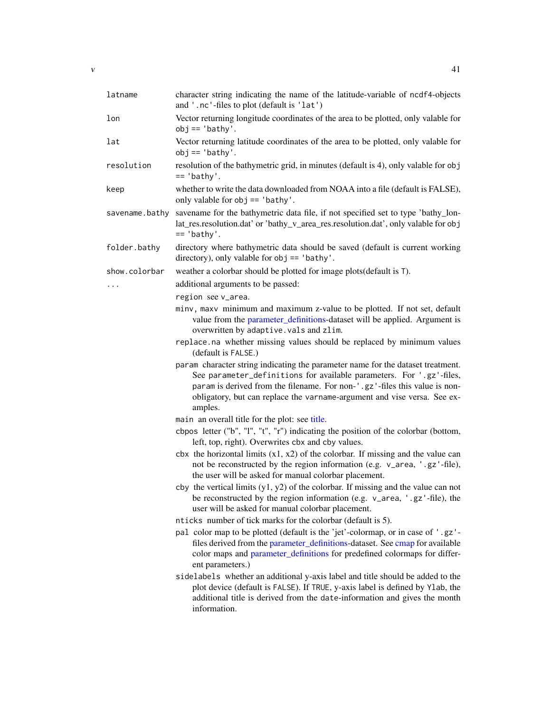<span id="page-40-0"></span>

| latname        | character string indicating the name of the latitude-variable of ncdf4-objects<br>and '.nc'-files to plot (default is 'lat')                                                                                                                                                                                                 |
|----------------|------------------------------------------------------------------------------------------------------------------------------------------------------------------------------------------------------------------------------------------------------------------------------------------------------------------------------|
| lon            | Vector returning longitude coordinates of the area to be plotted, only valable for<br>$obj == 'bathy'.$                                                                                                                                                                                                                      |
| lat            | Vector returning latitude coordinates of the area to be plotted, only valable for<br>$obj == 'bathy'.$                                                                                                                                                                                                                       |
| resolution     | resolution of the bathymetric grid, in minutes (default is 4), only valable for obj<br>$== 'bathy'.$                                                                                                                                                                                                                         |
| keep           | whether to write the data downloaded from NOAA into a file (default is FALSE),<br>only valable for obj == 'bathy'.                                                                                                                                                                                                           |
| savename.bathy | savename for the bathymetric data file, if not specified set to type 'bathy_lon-<br>lat_res.resolution.dat' or 'bathy_v_area_res.resolution.dat', only valable for obj<br>$== 'bathy'.$                                                                                                                                      |
| folder.bathy   | directory where bathymetric data should be saved (default is current working<br>directory), only valable for $obj == 'bathy'.$                                                                                                                                                                                               |
| show.colorbar  | weather a colorbar should be plotted for image plots (default is T).                                                                                                                                                                                                                                                         |
| $\cdots$       | additional arguments to be passed:                                                                                                                                                                                                                                                                                           |
|                | region see v_area.                                                                                                                                                                                                                                                                                                           |
|                | minv, maxv minimum and maximum z-value to be plotted. If not set, default<br>value from the parameter_definitions-dataset will be applied. Argument is<br>overwritten by adaptive.vals and zlim.                                                                                                                             |
|                | replace.na whether missing values should be replaced by minimum values<br>(default is FALSE.)                                                                                                                                                                                                                                |
|                | param character string indicating the parameter name for the dataset treatment.<br>See parameter_definitions for available parameters. For '.gz'-files,<br>param is derived from the filename. For non-'.gz'-files this value is non-<br>obligatory, but can replace the varname-argument and vise versa. See ex-<br>amples. |
|                | main an overall title for the plot: see title.                                                                                                                                                                                                                                                                               |
|                | cbpos letter ("b", "l", "t", "r") indicating the position of the colorbar (bottom,<br>left, top, right). Overwrites cbx and cby values.                                                                                                                                                                                      |
|                | cbx the horizontal limits $(x1, x2)$ of the colorbar. If missing and the value can<br>not be reconstructed by the region information (e.g. v_area, '.gz'-file),<br>the user will be asked for manual colorbar placement.                                                                                                     |
|                | cby the vertical limits $(y1, y2)$ of the colorbar. If missing and the value can not<br>be reconstructed by the region information (e.g. v_area, '.gz'-file), the<br>user will be asked for manual colorbar placement.                                                                                                       |
|                | nticks number of tick marks for the colorbar (default is 5).                                                                                                                                                                                                                                                                 |
|                | pal color map to be plotted (default is the 'jet'-colormap, or in case of '.gz'-<br>files derived from the parameter_definitions-dataset. See cmap for available<br>color maps and parameter_definitions for predefined colormaps for differ-<br>ent parameters.)                                                            |
|                | sidelabels whether an additional y-axis label and title should be added to the<br>plot device (default is FALSE). If TRUE, y-axis label is defined by Ylab, the<br>additional title is derived from the date-information and gives the month<br>information.                                                                 |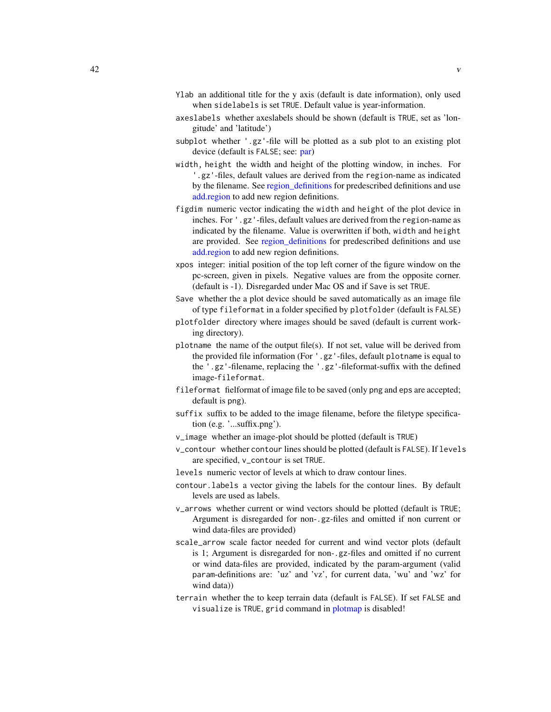- <span id="page-41-0"></span>Ylab an additional title for the y axis (default is date information), only used when sidelabels is set TRUE. Default value is year-information.
- axeslabels whether axeslabels should be shown (default is TRUE, set as 'longitude' and 'latitude')
- subplot whether '.gz'-file will be plotted as a sub plot to an existing plot device (default is FALSE; see: [par\)](#page-0-0)
- width, height the width and height of the plotting window, in inches. For '.gz'-files, default values are derived from the region-name as indicated by the filename. See [region\\_definitions](#page-33-1) for predescribed definitions and use [add.region](#page-2-1) to add new region definitions.
- figdim numeric vector indicating the width and height of the plot device in inches. For '.gz'-files, default values are derived from the region-name as indicated by the filename. Value is overwritten if both, width and height are provided. See [region\\_definitions](#page-33-1) for predescribed definitions and use [add.region](#page-2-1) to add new region definitions.
- xpos integer: initial position of the top left corner of the figure window on the pc-screen, given in pixels. Negative values are from the opposite corner. (default is -1). Disregarded under Mac OS and if Save is set TRUE.
- Save whether the a plot device should be saved automatically as an image file of type fileformat in a folder specified by plotfolder (default is FALSE)
- plotfolder directory where images should be saved (default is current working directory).
- plotname the name of the output file(s). If not set, value will be derived from the provided file information (For '.gz'-files, default plotname is equal to the '.gz'-filename, replacing the '.gz'-fileformat-suffix with the defined image-fileformat.
- fileformat fielformat of image file to be saved (only png and eps are accepted; default is png).
- suffix suffix to be added to the image filename, before the filetype specification (e.g. '...suffix.png').
- v\_image whether an image-plot should be plotted (default is TRUE)
- v\_contour whether contour lines should be plotted (default is FALSE). If levels are specified, v\_contour is set TRUE.
- levels numeric vector of levels at which to draw contour lines.
- contour.labels a vector giving the labels for the contour lines. By default levels are used as labels.
- v\_arrows whether current or wind vectors should be plotted (default is TRUE; Argument is disregarded for non-.gz-files and omitted if non current or wind data-files are provided)
- scale\_arrow scale factor needed for current and wind vector plots (default is 1; Argument is disregarded for non-.gz-files and omitted if no current or wind data-files are provided, indicated by the param-argument (valid param-definitions are: 'uz' and 'vz', for current data, 'wu' and 'wz' for wind data))
- terrain whether the to keep terrain data (default is FALSE). If set FALSE and visualize is TRUE, grid command in [plotmap](#page-27-1) is disabled!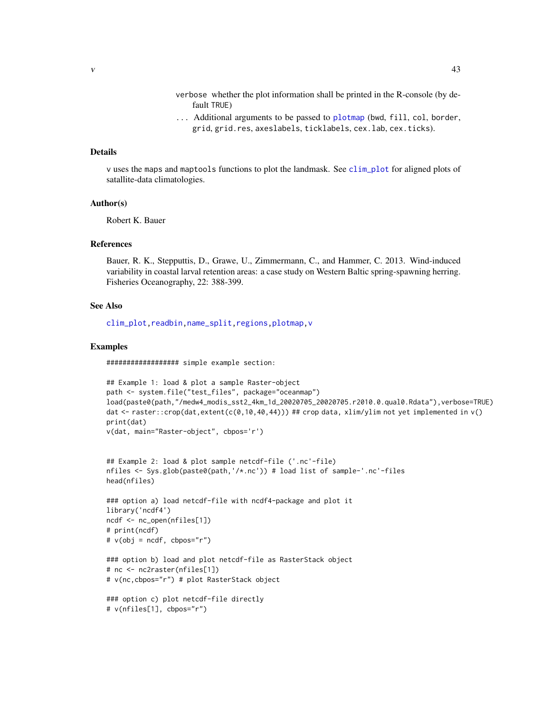- verbose whether the plot information shall be printed in the R-console (by default TRUE)
- ... Additional arguments to be passed to [plotmap](#page-27-1) (bwd, fill, col, border, grid, grid.res, axeslabels, ticklabels, cex.lab, cex.ticks).

#### <span id="page-42-0"></span>Details

v uses the maps and maptools functions to plot the landmask. See [clim\\_plot](#page-9-1) for aligned plots of satallite-data climatologies.

#### Author(s)

Robert K. Bauer

#### References

Bauer, R. K., Stepputtis, D., Grawe, U., Zimmermann, C., and Hammer, C. 2013. Wind-induced variability in coastal larval retention areas: a case study on Western Baltic spring-spawning herring. Fisheries Oceanography, 22: 388-399.

#### See Also

[clim\\_plot](#page-9-1)[,readbin](#page-31-1)[,name\\_split,](#page-20-1)[regions,](#page-32-1)[plotmap,](#page-27-1)[v](#page-38-1)

#### Examples

################## simple example section:

```
## Example 1: load & plot a sample Raster-object
path <- system.file("test_files", package="oceanmap")
load(paste0(path,"/medw4_modis_sst2_4km_1d_20020705_20020705.r2010.0.qual0.Rdata"),verbose=TRUE)
dat <- raster::crop(dat,extent(c(0,10,40,44))) ## crop data, xlim/ylim not yet implemented in v()
print(dat)
v(dat, main="Raster-object", cbpos='r')
```

```
## Example 2: load & plot sample netcdf-file ('.nc'-file)
nfiles <- Sys.glob(paste0(path,'/*.nc')) # load list of sample-'.nc'-files
head(nfiles)
```

```
### option a) load netcdf-file with ncdf4-package and plot it
library('ncdf4')
ncdf <- nc_open(nfiles[1])
# print(ncdf)
# v(obj = ncdf, cbpos="')
```

```
### option b) load and plot netcdf-file as RasterStack object
# nc <- nc2raster(nfiles[1])
# v(nc,cbpos="r") # plot RasterStack object
```

```
### option c) plot netcdf-file directly
# v(nfiles[1], cbpos="r")
```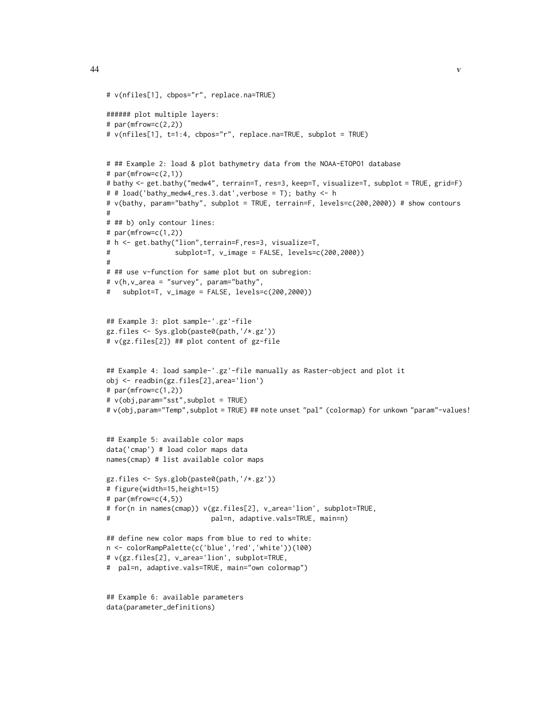#

#

```
# v(nfiles[1], cbpos="r", replace.na=TRUE)
###### plot multiple layers:
# par(mfrow=c(2,2))# v(nfiles[1], t=1:4, cbpos="r", replace.na=TRUE, subplot = TRUE)
# ## Example 2: load & plot bathymetry data from the NOAA-ETOPO1 database
# par(mfrow=c(2,1))# bathy <- get.bathy("medw4", terrain=T, res=3, keep=T, visualize=T, subplot = TRUE, grid=F)
# # load('bathy_medw4_res.3.dat',verbose = T); bathy <- h
# v(bathy, param="bathy", subplot = TRUE, terrain=F, levels=c(200,2000)) # show contours
# ## b) only contour lines:
# par(mfrow=c(1,2))
# h <- get.bathy("lion",terrain=F,res=3, visualize=T,
# subplot=T, v_image = FALSE, levels=c(200,2000))
# ## use v-function for same plot but on subregion:
# v(h,v_area = "survey", param="bathy",
# subplot=T, v_image = FALSE, levels=c(200,2000))
## Example 3: plot sample-'.gz'-file
gz.files <- Sys.glob(paste0(path,'/*.gz'))
# v(gz.files[2]) ## plot content of gz-file
## Example 4: load sample-'.gz'-file manually as Raster-object and plot it
obj <- readbin(gz.files[2],area='lion')
# par(mfrow=c(1,2))
# v(obj,param="sst",subplot = TRUE)
# v(obj, param="Temp", subplot = TRUE) ## note unset "pal" (colormap) for unkown "param"-values!
## Example 5: available color maps
data('cmap') # load color maps data
names(cmap) # list available color maps
gz.files <- Sys.glob(paste0(path,'/*.gz'))
# figure(width=15,height=15)
# par(mfrow=c(4,5))
# for(n in names(cmap)) v(gz.files[2], v_area='lion', subplot=TRUE,
# pal=n, adaptive.vals=TRUE, main=n)
## define new color maps from blue to red to white:
n <- colorRampPalette(c('blue','red','white'))(100)
# v(gz.files[2], v_area='lion', subplot=TRUE,
# pal=n, adaptive.vals=TRUE, main="own colormap")
```

```
## Example 6: available parameters
data(parameter_definitions)
```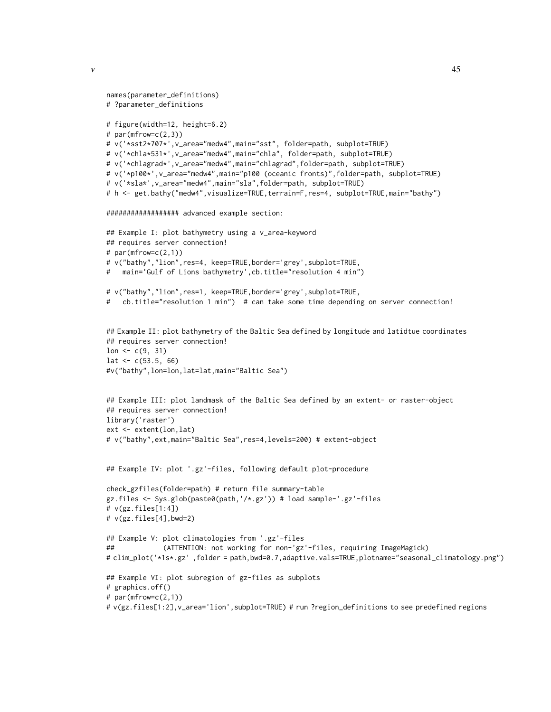```
\mathbf{v} and \mathbf{v} and \mathbf{v} and \mathbf{v} and \mathbf{v} and \mathbf{v} and \mathbf{v} and \mathbf{v} and \mathbf{v} and \mathbf{v} and \mathbf{v} and \mathbf{v} and \mathbf{v} and \mathbf{v} and \mathbf{v} and \mathbf{v} and \mathbf{v} and
```

```
names(parameter_definitions)
# ?parameter_definitions
# figure(width=12, height=6.2)
# par(mfrow=c(2,3))
# v('*sst2*707*',v_area="medw4",main="sst", folder=path, subplot=TRUE)
# v('*chla*531*',v_area="medw4",main="chla", folder=path, subplot=TRUE)
# v('*chlagrad*',v_area="medw4",main="chlagrad",folder=path, subplot=TRUE)
# v('*p100*',v_area="medw4",main="p100 (oceanic fronts)",folder=path, subplot=TRUE)
# v('*sla*',v_area="medw4",main="sla",folder=path, subplot=TRUE)
# h <- get.bathy("medw4",visualize=TRUE,terrain=F,res=4, subplot=TRUE,main="bathy")
################## advanced example section:
## Example I: plot bathymetry using a v_area-keyword
## requires server connection!
# par(mfrow=c(2,1))# v("bathy","lion",res=4, keep=TRUE,border='grey',subplot=TRUE,
# main='Gulf of Lions bathymetry',cb.title="resolution 4 min")
# v("bathy","lion",res=1, keep=TRUE,border='grey',subplot=TRUE,
# cb.title="resolution 1 min") # can take some time depending on server connection!
## Example II: plot bathymetry of the Baltic Sea defined by longitude and latidtue coordinates
## requires server connection!
lon <-c(9, 31)lat \leq c(53.5, 66)
#v("bathy",lon=lon,lat=lat,main="Baltic Sea")
## Example III: plot landmask of the Baltic Sea defined by an extent- or raster-object
## requires server connection!
library('raster')
ext <- extent(lon,lat)
# v("bathy",ext,main="Baltic Sea",res=4,levels=200) # extent-object
## Example IV: plot '.gz'-files, following default plot-procedure
check_gzfiles(folder=path) # return file summary-table
gz.files <- Sys.glob(paste0(path,'/*.gz')) # load sample-'.gz'-files
# v(gz.files[1:4])
# v(gz.files[4],bwd=2)
## Example V: plot climatologies from '.gz'-files
## (ATTENTION: not working for non-'gz'-files, requiring ImageMagick)
# clim_plot('*1s*.gz' ,folder = path,bwd=0.7,adaptive.vals=TRUE,plotname="seasonal_climatology.png")
## Example VI: plot subregion of gz-files as subplots
```

```
# graphics.off()
```

```
# par(mfrow=c(2,1))
```

```
# v(gz.files[1:2],v_area='lion',subplot=TRUE) # run ?region_definitions to see predefined regions
```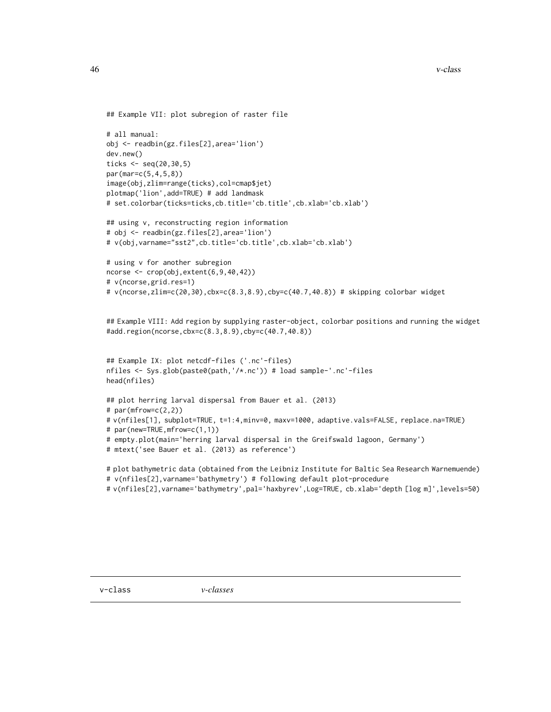```
## Example VII: plot subregion of raster file
# all manual:
obj <- readbin(gz.files[2],area='lion')
dev.new()
ticks <- seq(20,30,5)
par(mar=c(5,4,5,8))
image(obj,zlim=range(ticks),col=cmap$jet)
plotmap('lion',add=TRUE) # add landmask
# set.colorbar(ticks=ticks,cb.title='cb.title',cb.xlab='cb.xlab')
## using v, reconstructing region information
# obj <- readbin(gz.files[2],area='lion')
# v(obj,varname="sst2",cb.title='cb.title',cb.xlab='cb.xlab')
# using v for another subregion
ncorse <- crop(obj,extent(6,9,40,42))
# v(ncorse,grid.res=1)
# v(ncorse,zlim=c(20,30),cbx=c(8.3,8.9),cby=c(40.7,40.8)) # skipping colorbar widget
## Example VIII: Add region by supplying raster-object, colorbar positions and running the widget
#add.region(ncorse,cbx=c(8.3,8.9),cby=c(40.7,40.8))
## Example IX: plot netcdf-files ('.nc'-files)
nfiles <- Sys.glob(paste0(path,'/*.nc')) # load sample-'.nc'-files
head(nfiles)
## plot herring larval dispersal from Bauer et al. (2013)
# par(mfrow=c(2,2))
# v(nfiles[1], subplot=TRUE, t=1:4,minv=0, maxv=1000, adaptive.vals=FALSE, replace.na=TRUE)
# par(new=TRUE,mfrow=c(1,1))
# empty.plot(main='herring larval dispersal in the Greifswald lagoon, Germany')
# mtext('see Bauer et al. (2013) as reference')
```

```
# plot bathymetric data (obtained from the Leibniz Institute for Baltic Sea Research Warnemuende)
# v(nfiles[2],varname='bathymetry') # following default plot-procedure
```

```
# v(nfiles[2],varname='bathymetry',pal='haxbyrev',Log=TRUE, cb.xlab='depth [log m]',levels=50)
```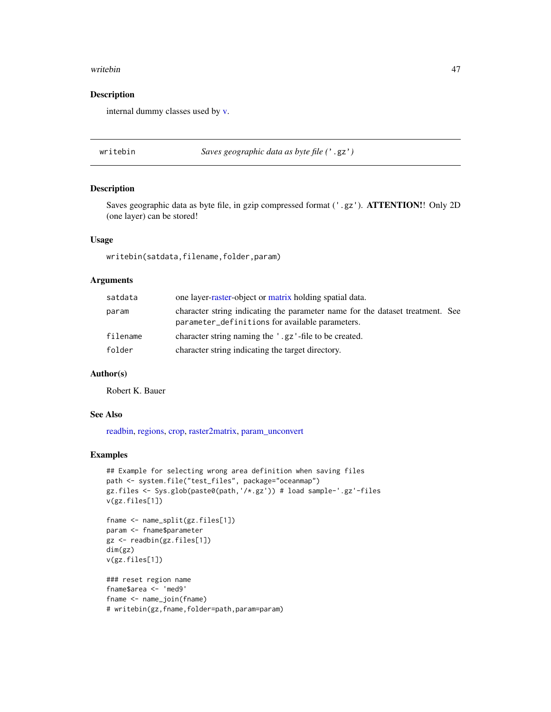#### <span id="page-46-0"></span>writebin 47

# Description

internal dummy classes used by [v.](#page-38-1)

<span id="page-46-1"></span>writebin *Saves geographic data as byte file (*'.gz'*)*

# Description

Saves geographic data as byte file, in gzip compressed format ('.gz'). ATTENTION!! Only 2D (one layer) can be stored!

#### Usage

writebin(satdata,filename,folder,param)

#### Arguments

| satdata  | one layer-raster-object or matrix holding spatial data.                                                                          |
|----------|----------------------------------------------------------------------------------------------------------------------------------|
| param    | character string indicating the parameter name for the dataset treatment. See<br>parameter_definitions for available parameters. |
| filename | character string naming the '.gz'-file to be created.                                                                            |
| folder   | character string indicating the target directory.                                                                                |

# Author(s)

Robert K. Bauer

#### See Also

[readbin,](#page-31-1) [regions,](#page-32-1) [crop,](#page-0-0) [raster2matrix,](#page-30-1) [param\\_unconvert](#page-26-1)

```
## Example for selecting wrong area definition when saving files
path <- system.file("test_files", package="oceanmap")
gz.files <- Sys.glob(paste0(path,'/*.gz')) # load sample-'.gz'-files
v(gz.files[1])
fname <- name_split(gz.files[1])
param <- fname$parameter
```

```
gz <- readbin(gz.files[1])
dim(gz)
v(gz.files[1])
```

```
### reset region name
fname$area <- 'med9'
fname <- name_join(fname)
# writebin(gz,fname,folder=path,param=param)
```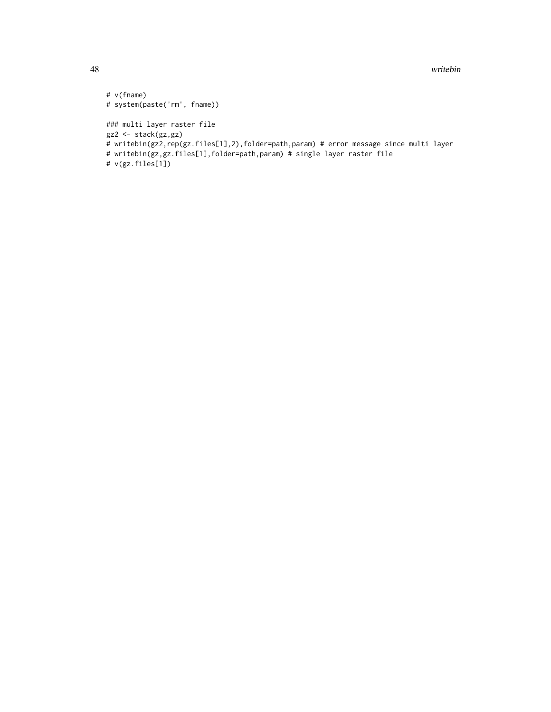48 writebin

```
# v(fname)
# system(paste('rm', fname))
### multi layer raster file
gz2 <- stack(gz,gz)
# writebin(gz2,rep(gz.files[1],2),folder=path,param) # error message since multi layer
# writebin(gz,gz.files[1],folder=path,param) # single layer raster file
# v(gz.files[1])
```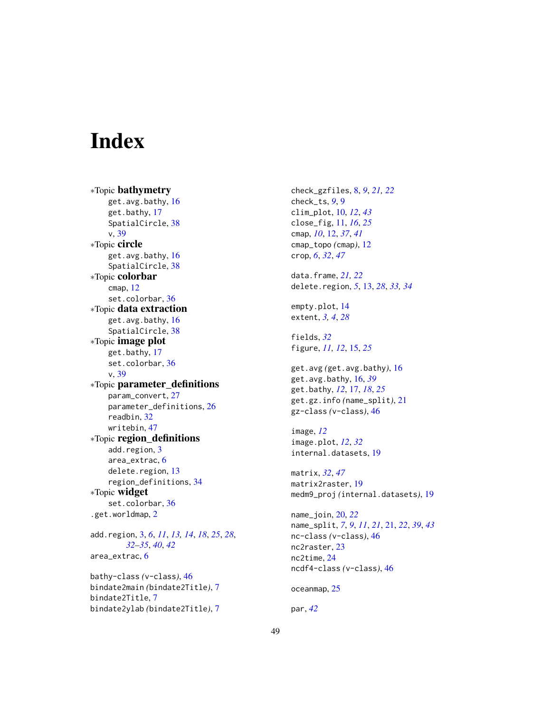# <span id="page-48-0"></span>**Index**

∗Topic bathymetry get.avg.bathy, [16](#page-15-0) get.bathy, [17](#page-16-0) SpatialCircle, [38](#page-37-0) v, [39](#page-38-0) ∗Topic circle get.avg.bathy, [16](#page-15-0) SpatialCircle, [38](#page-37-0) ∗Topic colorbar cmap, [12](#page-11-0) set.colorbar, [36](#page-35-0) ∗Topic data extraction get.avg.bathy, [16](#page-15-0) SpatialCircle, [38](#page-37-0) ∗Topic image plot get.bathy, [17](#page-16-0) set.colorbar, [36](#page-35-0) v, [39](#page-38-0) ∗Topic parameter\_definitions param\_convert, [27](#page-26-0) parameter\_definitions, [26](#page-25-0) readbin, [32](#page-31-0) writebin, [47](#page-46-0) ∗Topic region\_definitions add.region, [3](#page-2-0) area\_extrac, [6](#page-5-0) delete.region, [13](#page-12-0) region\_definitions, [34](#page-33-0) ∗Topic widget set.colorbar, [36](#page-35-0) .get.worldmap, [2](#page-1-0) add.region, [3,](#page-2-0) *[6](#page-5-0)*, *[11](#page-10-0)*, *[13,](#page-12-0) [14](#page-13-0)*, *[18](#page-17-0)*, *[25](#page-24-0)*, *[28](#page-27-0)*, *[32](#page-31-0)[–35](#page-34-0)*, *[40](#page-39-0)*, *[42](#page-41-0)* area\_extrac, [6](#page-5-0) bathy-class *(*v-class*)*, [46](#page-45-0)

bindate2main *(*bindate2Title*)*, [7](#page-6-0) bindate2Title, [7](#page-6-0) bindate2ylab *(*bindate2Title*)*, [7](#page-6-0) check\_gzfiles, [8,](#page-7-0) *[9](#page-8-0)*, *[21,](#page-20-0) [22](#page-21-0)* check\_ts, *[9](#page-8-0)*, [9](#page-8-0) clim\_plot, [10,](#page-9-0) *[12](#page-11-0)*, *[43](#page-42-0)* close\_fig, [11,](#page-10-0) *[16](#page-15-0)*, *[25](#page-24-0)* cmap, *[10](#page-9-0)*, [12,](#page-11-0) *[37](#page-36-0)*, *[41](#page-40-0)* cmap\_topo *(*cmap*)*, [12](#page-11-0) crop, *[6](#page-5-0)*, *[32](#page-31-0)*, *[47](#page-46-0)* data.frame, *[21,](#page-20-0) [22](#page-21-0)* delete.region, *[5](#page-4-0)*, [13,](#page-12-0) *[28](#page-27-0)*, *[33,](#page-32-0) [34](#page-33-0)* empty.plot, [14](#page-13-0) extent, *[3,](#page-2-0) [4](#page-3-0)*, *[28](#page-27-0)* fields, *[32](#page-31-0)* figure, *[11,](#page-10-0) [12](#page-11-0)*, [15,](#page-14-0) *[25](#page-24-0)* get.avg *(*get.avg.bathy*)*, [16](#page-15-0) get.avg.bathy, [16,](#page-15-0) *[39](#page-38-0)* get.bathy, *[12](#page-11-0)*, [17,](#page-16-0) *[18](#page-17-0)*, *[25](#page-24-0)* get.gz.info *(*name\_split*)*, [21](#page-20-0) gz-class *(*v-class*)*, [46](#page-45-0) image, *[12](#page-11-0)* image.plot, *[12](#page-11-0)*, *[32](#page-31-0)* internal.datasets, [19](#page-18-0) matrix, *[32](#page-31-0)*, *[47](#page-46-0)* matrix2raster, [19](#page-18-0) medm9\_proj *(*internal.datasets*)*, [19](#page-18-0) name\_join, [20,](#page-19-0) *[22](#page-21-0)* name\_split, *[7](#page-6-0)*, *[9](#page-8-0)*, *[11](#page-10-0)*, *[21](#page-20-0)*, [21,](#page-20-0) *[22](#page-21-0)*, *[39](#page-38-0)*, *[43](#page-42-0)* nc-class *(*v-class*)*, [46](#page-45-0) nc2raster, [23](#page-22-0) nc2time, [24](#page-23-0) ncdf4-class *(*v-class*)*, [46](#page-45-0) oceanmap, [25](#page-24-0) par, *[42](#page-41-0)*